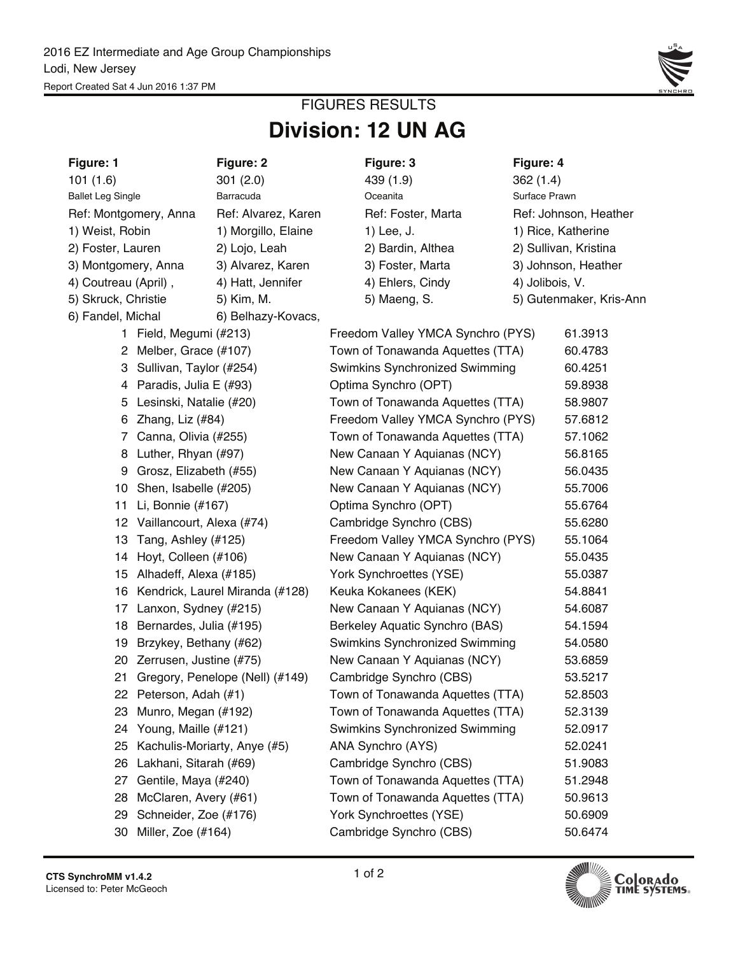

## **Division: 12 UN AG** FIGURES RESULTS

| Figure: 1                              |                              | Figure: 2                          |                                              | Figure: 3                         | Figure: 4          |                         |  |  |  |
|----------------------------------------|------------------------------|------------------------------------|----------------------------------------------|-----------------------------------|--------------------|-------------------------|--|--|--|
| 101(1.6)                               |                              | 301(2.0)                           |                                              | 439 (1.9)                         | 362(1.4)           |                         |  |  |  |
| <b>Ballet Leg Single</b>               |                              | Barracuda                          |                                              | Oceanita                          | Surface Prawn      |                         |  |  |  |
| Ref: Montgomery, Anna                  |                              | Ref: Alvarez, Karen                |                                              | Ref: Foster, Marta                |                    | Ref: Johnson, Heather   |  |  |  |
| 1) Weist, Robin<br>1) Morgillo, Elaine |                              |                                    |                                              | 1) Lee, J.                        | 1) Rice, Katherine |                         |  |  |  |
| 2) Foster, Lauren                      |                              | 2) Lojo, Leah                      |                                              | 2) Bardin, Althea                 |                    | 2) Sullivan, Kristina   |  |  |  |
| 3) Montgomery, Anna                    |                              | 3) Alvarez, Karen                  |                                              | 3) Foster, Marta                  |                    | 3) Johnson, Heather     |  |  |  |
| 4) Coutreau (April),                   |                              | 4) Hatt, Jennifer                  |                                              | 4) Ehlers, Cindy                  | 4) Jolibois, V.    |                         |  |  |  |
| 5) Skruck, Christie                    |                              | 5) Kim, M.                         |                                              | 5) Maeng, S.                      |                    | 5) Gutenmaker, Kris-Ann |  |  |  |
| 6) Fandel, Michal                      |                              | 6) Belhazy-Kovacs,                 |                                              |                                   |                    |                         |  |  |  |
|                                        | 1 Field, Megumi (#213)       |                                    |                                              | Freedom Valley YMCA Synchro (PYS) |                    | 61.3913                 |  |  |  |
|                                        | 2 Melber, Grace (#107)       |                                    |                                              | Town of Tonawanda Aquettes (TTA)  |                    | 60.4783                 |  |  |  |
|                                        | 3 Sullivan, Taylor (#254)    |                                    |                                              | Swimkins Synchronized Swimming    |                    | 60.4251                 |  |  |  |
|                                        | 4 Paradis, Julia E (#93)     |                                    |                                              | Optima Synchro (OPT)              |                    | 59.8938                 |  |  |  |
| 5                                      | Lesinski, Natalie (#20)      |                                    |                                              | Town of Tonawanda Aquettes (TTA)  |                    | 58.9807                 |  |  |  |
| 6                                      | Zhang, Liz (#84)             |                                    | Freedom Valley YMCA Synchro (PYS)<br>57.6812 |                                   |                    |                         |  |  |  |
|                                        | 7 Canna, Olivia (#255)       |                                    | Town of Tonawanda Aquettes (TTA)<br>57.1062  |                                   |                    |                         |  |  |  |
|                                        | 8 Luther, Rhyan (#97)        |                                    |                                              | New Canaan Y Aquianas (NCY)       |                    | 56.8165                 |  |  |  |
| 9                                      | Grosz, Elizabeth (#55)       |                                    |                                              | New Canaan Y Aquianas (NCY)       |                    | 56.0435                 |  |  |  |
|                                        | 10 Shen, Isabelle (#205)     |                                    |                                              | New Canaan Y Aquianas (NCY)       |                    | 55.7006                 |  |  |  |
|                                        | 11 Li, Bonnie (#167)         |                                    |                                              | Optima Synchro (OPT)              |                    | 55.6764                 |  |  |  |
|                                        | 12 Vaillancourt, Alexa (#74) |                                    | Cambridge Synchro (CBS)<br>55.6280           |                                   |                    |                         |  |  |  |
|                                        | 13 Tang, Ashley (#125)       |                                    |                                              | Freedom Valley YMCA Synchro (PYS) |                    | 55.1064                 |  |  |  |
|                                        | 14 Hoyt, Colleen (#106)      |                                    |                                              | New Canaan Y Aquianas (NCY)       |                    | 55.0435                 |  |  |  |
|                                        | 15 Alhadeff, Alexa (#185)    |                                    |                                              | York Synchroettes (YSE)           |                    | 55.0387                 |  |  |  |
|                                        |                              | 16 Kendrick, Laurel Miranda (#128) |                                              | Keuka Kokanees (KEK)              |                    | 54.8841                 |  |  |  |
|                                        | 17 Lanxon, Sydney (#215)     |                                    |                                              | New Canaan Y Aquianas (NCY)       |                    | 54.6087                 |  |  |  |
|                                        | 18 Bernardes, Julia (#195)   |                                    |                                              | Berkeley Aquatic Synchro (BAS)    |                    | 54.1594                 |  |  |  |
|                                        | 19 Brzykey, Bethany (#62)    |                                    | Swimkins Synchronized Swimming               | 54.0580                           |                    |                         |  |  |  |
|                                        | 20 Zerrusen, Justine (#75)   |                                    |                                              | New Canaan Y Aquianas (NCY)       |                    | 53.6859                 |  |  |  |
| 21                                     |                              | Gregory, Penelope (Nell) (#149)    |                                              | Cambridge Synchro (CBS)           |                    | 53.5217                 |  |  |  |
|                                        | 22 Peterson, Adah (#1)       |                                    |                                              | Town of Tonawanda Aquettes (TTA)  |                    | 52.8503                 |  |  |  |
| 23                                     | Munro, Megan (#192)          |                                    |                                              | Town of Tonawanda Aquettes (TTA)  |                    | 52.3139                 |  |  |  |
| 24                                     | Young, Maille (#121)         |                                    | Swimkins Synchronized Swimming<br>52.0917    |                                   |                    |                         |  |  |  |
| 25                                     | Kachulis-Moriarty, Anye (#5) |                                    |                                              | ANA Synchro (AYS)                 |                    | 52.0241                 |  |  |  |
| 26                                     | Lakhani, Sitarah (#69)       |                                    |                                              | Cambridge Synchro (CBS)           |                    | 51.9083                 |  |  |  |
| 27                                     | Gentile, Maya (#240)         |                                    | Town of Tonawanda Aquettes (TTA)             | 51.2948                           |                    |                         |  |  |  |
| 28                                     | McClaren, Avery (#61)        |                                    | Town of Tonawanda Aquettes (TTA)             | 50.9613                           |                    |                         |  |  |  |
| 29                                     | Schneider, Zoe (#176)        |                                    | York Synchroettes (YSE)<br>50.6909           |                                   |                    |                         |  |  |  |
|                                        | 30 Miller, Zoe (#164)        |                                    |                                              | Cambridge Synchro (CBS)           |                    | 50.6474                 |  |  |  |

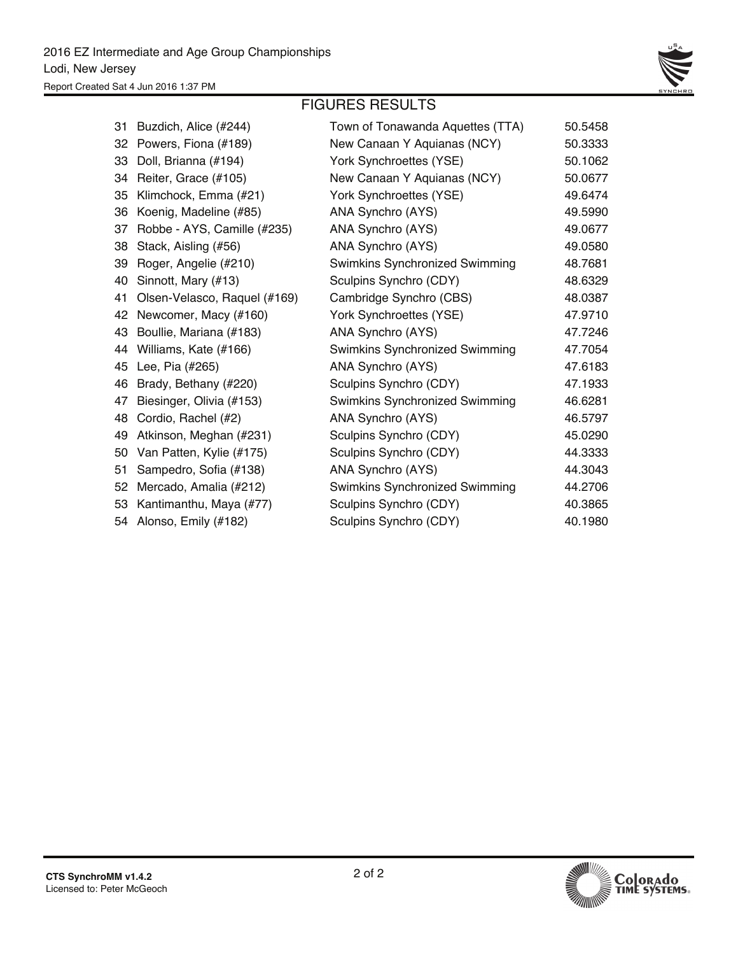

#### FIGURES RESULTS

| 31 | Buzdich, Alice (#244)        | Town of Tonawanda Aquettes (TTA) | 50.5458 |
|----|------------------------------|----------------------------------|---------|
| 32 | Powers, Fiona (#189)         | New Canaan Y Aquianas (NCY)      | 50.3333 |
| 33 | Doll, Brianna (#194)         | York Synchroettes (YSE)          | 50.1062 |
| 34 | Reiter, Grace (#105)         | New Canaan Y Aquianas (NCY)      | 50.0677 |
| 35 | Klimchock, Emma (#21)        | York Synchroettes (YSE)          | 49.6474 |
| 36 | Koenig, Madeline (#85)       | ANA Synchro (AYS)                | 49.5990 |
| 37 | Robbe - AYS, Camille (#235)  | ANA Synchro (AYS)                | 49.0677 |
| 38 | Stack, Aisling (#56)         | ANA Synchro (AYS)                | 49.0580 |
| 39 | Roger, Angelie (#210)        | Swimkins Synchronized Swimming   | 48.7681 |
| 40 | Sinnott, Mary (#13)          | Sculpins Synchro (CDY)           | 48.6329 |
| 41 | Olsen-Velasco, Raquel (#169) | Cambridge Synchro (CBS)          | 48.0387 |
| 42 | Newcomer, Macy (#160)        | York Synchroettes (YSE)          | 47.9710 |
| 43 | Boullie, Mariana (#183)      | ANA Synchro (AYS)                | 47.7246 |
| 44 | Williams, Kate (#166)        | Swimkins Synchronized Swimming   | 47.7054 |
| 45 | Lee, Pia (#265)              | ANA Synchro (AYS)                | 47.6183 |
| 46 | Brady, Bethany (#220)        | Sculpins Synchro (CDY)           | 47.1933 |
| 47 | Biesinger, Olivia (#153)     | Swimkins Synchronized Swimming   | 46.6281 |
| 48 | Cordio, Rachel (#2)          | ANA Synchro (AYS)                | 46.5797 |
| 49 | Atkinson, Meghan (#231)      | Sculpins Synchro (CDY)           | 45.0290 |
| 50 | Van Patten, Kylie (#175)     | Sculpins Synchro (CDY)           | 44.3333 |
| 51 | Sampedro, Sofia (#138)       | ANA Synchro (AYS)                | 44.3043 |
| 52 | Mercado, Amalia (#212)       | Swimkins Synchronized Swimming   | 44.2706 |
| 53 | Kantimanthu, Maya (#77)      | Sculpins Synchro (CDY)           | 40.3865 |
|    | 54 Alonso, Emily (#182)      | Sculpins Synchro (CDY)           | 40.1980 |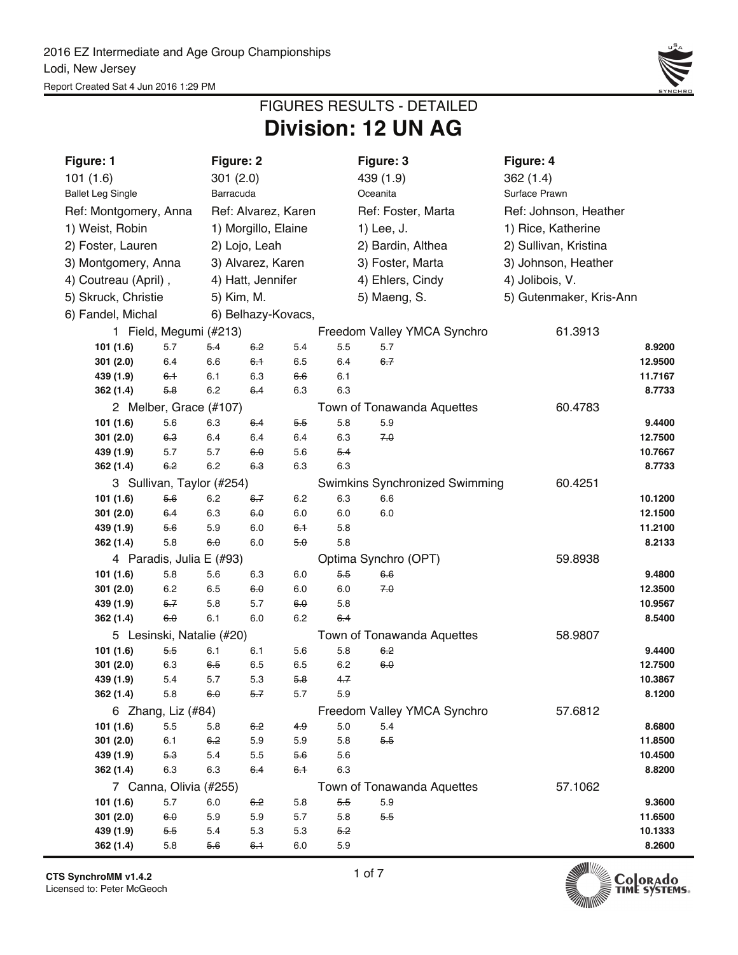

## **Division: 12 UN AG** FIGURES RESULTS - DETAILED

| Figure: 1                           | Figure: 2      |                       |            |            | Figure: 3                             |                     | Figure: 4               |                   |  |
|-------------------------------------|----------------|-----------------------|------------|------------|---------------------------------------|---------------------|-------------------------|-------------------|--|
| 101(1.6)                            | 301(2.0)       |                       |            |            | 439 (1.9)                             |                     | 362(1.4)                |                   |  |
| <b>Ballet Leg Single</b>            | Barracuda      |                       |            |            | Oceanita                              |                     | Surface Prawn           |                   |  |
| Ref: Montgomery, Anna               |                | Ref: Alvarez, Karen   |            |            | Ref: Foster, Marta                    |                     | Ref: Johnson, Heather   |                   |  |
| 1) Weist, Robin                     |                | 1) Morgillo, Elaine   |            |            | 1) Lee, J.                            |                     | 1) Rice, Katherine      |                   |  |
| 2) Foster, Lauren                   | 2) Lojo, Leah  |                       |            |            | 2) Bardin, Althea                     |                     | 2) Sullivan, Kristina   |                   |  |
| 3) Montgomery, Anna                 |                | 3) Alvarez, Karen     |            |            | 3) Foster, Marta                      | 3) Johnson, Heather |                         |                   |  |
| 4) Coutreau (April),                |                | 4) Hatt, Jennifer     |            |            | 4) Ehlers, Cindy                      |                     | 4) Jolibois, V.         |                   |  |
| 5) Skruck, Christie                 | 5) Kim, M.     |                       |            |            | 5) Maeng, S.                          |                     | 5) Gutenmaker, Kris-Ann |                   |  |
| 6) Fandel, Michal                   |                | 6) Belhazy-Kovacs,    |            |            |                                       |                     |                         |                   |  |
| 1 Field, Megumi (#213)              |                |                       |            |            | Freedom Valley YMCA Synchro           |                     | 61.3913                 |                   |  |
| 101 (1.6)<br>5.7                    | 5.4            | 6.2                   | 5.4        | $5.5\,$    | 5.7                                   |                     |                         | 8.9200            |  |
| 301(2.0)<br>6.4                     | 6.6            | 6.1                   | 6.5        | 6.4        | $6 - 7$                               |                     |                         | 12.9500           |  |
| 439 (1.9)<br>6.1                    | 6.1            | 6.3                   | 6.6        | 6.1        |                                       |                     |                         | 11.7167           |  |
| 362 (1.4)<br>5.8                    | 6.2            | 64                    | 6.3        | 6.3        |                                       |                     |                         | 8.7733            |  |
| 2 Melber, Grace (#107)              |                |                       |            |            | Town of Tonawanda Aquettes            |                     | 60.4783                 |                   |  |
| 101 (1.6)<br>5.6                    | 6.3            | 6.4                   | 5.5        | 5.8        | 5.9                                   |                     |                         | 9.4400            |  |
| 301(2.0)<br>6.3                     | 6.4            | 6.4                   | 6.4        | 6.3        | 70                                    |                     |                         | 12.7500           |  |
| 439 (1.9)<br>5.7                    | 5.7            | 6.0                   | 5.6        | 5.4        |                                       |                     |                         | 10.7667           |  |
| 362 (1.4)<br>6.2                    | 6.2            | 6.3                   | 6.3        | 6.3        |                                       |                     |                         | 8.7733            |  |
| 3 Sullivan, Taylor (#254)           |                |                       |            |            | <b>Swimkins Synchronized Swimming</b> |                     | 60.4251                 |                   |  |
| 101 (1.6)<br>5.6                    | 6.2            | 6.7                   | 6.2        | 6.3        | 6.6                                   |                     |                         | 10.1200           |  |
| 301(2.0)<br>6.4                     | 6.3            | 6.0                   | 6.0        | 6.0        | 6.0                                   |                     |                         | 12.1500           |  |
| 439 (1.9)<br>5.6<br>5.8             | 5.9<br>6.0     | 6.0<br>6.0            | 6.1<br>5.0 | 5.8<br>5.8 |                                       |                     |                         | 11.2100<br>8.2133 |  |
| 362 (1.4)                           |                |                       |            |            |                                       |                     |                         |                   |  |
| 4 Paradis, Julia E (#93)<br>5.8     | 5.6            |                       |            |            | Optima Synchro (OPT)<br>6.6           |                     | 59.8938                 | 9.4800            |  |
| 101 (1.6)<br>301(2.0)<br>6.2        | 6.5            | 6.3<br>6.0            | 6.0<br>6.0 | 5.5<br>6.0 | 70                                    |                     |                         | 12.3500           |  |
| $5 - 7$<br>439 (1.9)                | 5.8            | 5.7                   | 6.0        | 5.8        |                                       |                     |                         | 10.9567           |  |
| 6.0<br>362(1.4)                     | 6.1            | 6.0                   | 6.2        | $6-4$      |                                       |                     |                         | 8.5400            |  |
| 5 Lesinski, Natalie (#20)           |                |                       |            |            | Town of Tonawanda Aquettes            |                     | 58.9807                 |                   |  |
| 101 (1.6)<br>5.5                    | 6.1            | 6.1                   | 5.6        | 5.8        | 6.2                                   |                     |                         | 9.4400            |  |
| 301(2.0)<br>6.3                     | 6.5            | 6.5                   | 6.5        | 6.2        | 6.0                                   |                     |                         | 12.7500           |  |
| 439 (1.9)<br>5.4                    | 5.7            | 5.3                   | 58         | 47         |                                       |                     |                         | 10.3867           |  |
| 362 (1.4)<br>$5.8\,$                | 6.0            | 5.7                   | 5.7        | 5.9        |                                       |                     |                         | 8.1200            |  |
| 6 Zhang, Liz (#84)                  |                |                       |            |            | Freedom Valley YMCA Synchro           |                     | 57.6812                 |                   |  |
| 101 (1.6)<br>5.5                    | 5.8            | 6.2                   | 4.9        | 5.0        | 5.4                                   |                     |                         | 8.6800            |  |
| 301(2.0)<br>6.1                     | 6.2            | 5.9                   | 5.9        | 5.8        | 5.5                                   |                     |                         | 11.8500           |  |
| 439 (1.9)<br>5.3                    | 5.4            | 5.5                   | 5.6        | 5.6        |                                       |                     |                         | 10.4500           |  |
| 6.3<br>362 (1.4)                    | 6.3            | 6.4                   | $6+$       | 6.3        |                                       |                     |                         | 8.8200            |  |
| 7 Canna, Olivia (#255)              |                |                       |            |            | Town of Tonawanda Aquettes            |                     | 57.1062                 |                   |  |
| 101 (1.6)<br>5.7                    | $6.0\,$<br>5.9 | <del>6.2</del><br>5.9 | 5.8        | 5.5<br>5.8 | 5.9<br>5.5                            |                     |                         | 9.3600<br>11.6500 |  |
| 301(2.0)<br>6.0<br>439 (1.9)<br>5.5 | 5.4            | 5.3                   | 5.7<br>5.3 | 5.2        |                                       |                     |                         | 10.1333           |  |
| 362 (1.4)<br>5.8                    | 5.6            | 6.1                   | 6.0        | 5.9        |                                       |                     |                         | 8.2600            |  |

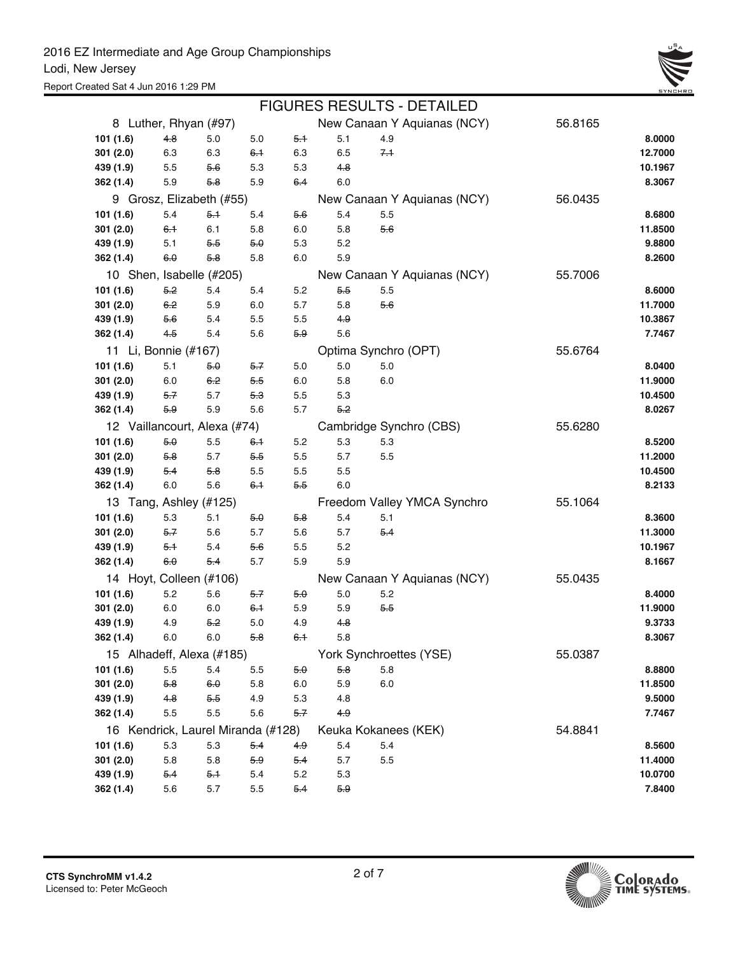

|           |                      |                                    |         |       |     | <b>FIGURES RESULTS - DETAILED</b> |         |         |
|-----------|----------------------|------------------------------------|---------|-------|-----|-----------------------------------|---------|---------|
|           |                      | 8 Luther, Rhyan (#97)              |         |       |     | New Canaan Y Aquianas (NCY)       | 56.8165 |         |
| 101 (1.6) | $4-8$                | 5.0                                | 5.0     | 5.1   | 5.1 | 4.9                               |         | 8.0000  |
| 301(2.0)  | 6.3                  | 6.3                                | $6-1$   | 6.3   | 6.5 | $7+$                              |         | 12.7000 |
| 439 (1.9) | 5.5                  | $5-6$                              | 5.3     | 5.3   | 4.8 |                                   |         | 10.1967 |
| 362 (1.4) | 5.9                  | 5.8                                | 5.9     | 6.4   | 6.0 |                                   |         | 8.3067  |
|           |                      | 9 Grosz, Elizabeth (#55)           |         |       |     | New Canaan Y Aquianas (NCY)       | 56.0435 |         |
| 101 (1.6) | 5.4                  | 5.1                                | 5.4     | 5.6   | 5.4 | 5.5                               |         | 8.6800  |
| 301(2.0)  | 6.1                  | 6.1                                | 5.8     | 6.0   | 5.8 | 5.6                               |         | 11.8500 |
| 439 (1.9) | 5.1                  | 5.5                                | 5.0     | 5.3   | 5.2 |                                   |         | 9.8800  |
| 362 (1.4) | 6.0                  | 5.8                                | 5.8     | 6.0   | 5.9 |                                   |         | 8.2600  |
|           |                      | 10 Shen, Isabelle (#205)           |         |       |     | New Canaan Y Aquianas (NCY)       | 55.7006 |         |
| 101 (1.6) | 5.2                  | 5.4                                | 5.4     | 5.2   | 5.5 | 5.5                               |         | 8.6000  |
| 301(2.0)  | $6-2$                | 5.9                                | 6.0     | 5.7   | 5.8 | $5-6$                             |         | 11.7000 |
| 439 (1.9) | 5.6                  | 5.4                                | 5.5     | 5.5   | 4.9 |                                   |         | 10.3867 |
| 362 (1.4) | 4.5                  | 5.4                                | 5.6     | 5.9   | 5.6 |                                   |         | 7.7467  |
|           | 11 Li, Bonnie (#167) |                                    |         |       |     | Optima Synchro (OPT)              | 55.6764 |         |
| 101(1.6)  | 5.1                  | 50                                 | $5 - 7$ | 5.0   | 5.0 | 5.0                               |         | 8.0400  |
| 301(2.0)  | 6.0                  | 6.2                                | 5.5     | 6.0   | 5.8 | 6.0                               |         | 11.9000 |
| 439 (1.9) | 5.7                  | 5.7                                | 5.3     | 5.5   | 5.3 |                                   |         | 10.4500 |
| 362 (1.4) | 5.9                  | 5.9                                | 5.6     | 5.7   | 5.2 |                                   |         | 8.0267  |
|           |                      | 12 Vaillancourt, Alexa (#74)       |         |       |     | Cambridge Synchro (CBS)           | 55.6280 |         |
| 101 (1.6) | 5.0                  | 5.5                                | 6.1     | 5.2   | 5.3 | 5.3                               |         | 8.5200  |
| 301(2.0)  | 5.8                  | 5.7                                | 5.5     | 5.5   | 5.7 | 5.5                               |         | 11.2000 |
| 439 (1.9) | $5-4$                | $5-8$                              | 5.5     | 5.5   | 5.5 |                                   |         | 10.4500 |
| 362 (1.4) | 6.0                  | 5.6                                | $6-1$   | $5-5$ | 6.0 |                                   |         | 8.2133  |
|           |                      | 13 Tang, Ashley (#125)             |         |       |     | Freedom Valley YMCA Synchro       | 55.1064 |         |
| 101(1.6)  | 5.3                  | 5.1                                | 5.0     | 58    | 5.4 | 5.1                               |         | 8.3600  |
| 301(2.0)  | 5.7                  | 5.6                                | 5.7     | 5.6   | 5.7 | $5-4$                             |         | 11.3000 |
| 439 (1.9) | 5.1                  | 5.4                                | 5.6     | 5.5   | 5.2 |                                   |         | 10.1967 |
| 362 (1.4) | 6.0                  | $5-4$                              | 5.7     | 5.9   | 5.9 |                                   |         | 8.1667  |
|           |                      | 14 Hoyt, Colleen (#106)            |         |       |     | New Canaan Y Aquianas (NCY)       | 55.0435 |         |
| 101 (1.6) | 5.2                  | 5.6                                | 5.7     | 50    | 5.0 | 5.2                               |         | 8.4000  |
| 301(2.0)  | 6.0                  | 6.0                                | $6-1$   | 5.9   | 5.9 | $5-5$                             |         | 11.9000 |
| 439 (1.9) | 4.9                  | $5-2$                              | 5.0     | 4.9   | 48  |                                   |         | 9.3733  |
| 362 (1.4) | 6.0                  | 6.0                                | 5.8     | 6.1   | 5.8 |                                   |         | 8.3067  |
|           |                      | 15 Alhadeff, Alexa (#185)          |         |       |     | York Synchroettes (YSE)           | 55.0387 |         |
| 101 (1.6) | 5.5                  | 5.4                                | 5.5     | 5.0   | 5.8 | 5.8                               |         | 8.8800  |
| 301 (2.0) | 5.8                  | 6.0                                | 5.8     | 6.0   | 5.9 | 6.0                               |         | 11.8500 |
| 439 (1.9) | 4.8                  | 5.5                                | 4.9     | 5.3   | 4.8 |                                   |         | 9.5000  |
| 362 (1.4) | 5.5                  | 5.5                                | 5.6     | 5.7   | 4.9 |                                   |         | 7.7467  |
|           |                      | 16 Kendrick, Laurel Miranda (#128) |         |       |     | Keuka Kokanees (KEK)              | 54.8841 |         |
| 101 (1.6) | 5.3                  | 5.3                                | $5-4$   | 4.9   | 5.4 | 5.4                               |         | 8.5600  |
| 301 (2.0) | 5.8                  | 5.8                                | 5.9     | 5.4   | 5.7 | 5.5                               |         | 11.4000 |
| 439 (1.9) | 5.4                  | 5.1                                | 5.4     | 5.2   | 5.3 |                                   |         | 10.0700 |
| 362 (1.4) | 5.6                  | 5.7                                | 5.5     | 5.4   | 5.9 |                                   |         | 7.8400  |

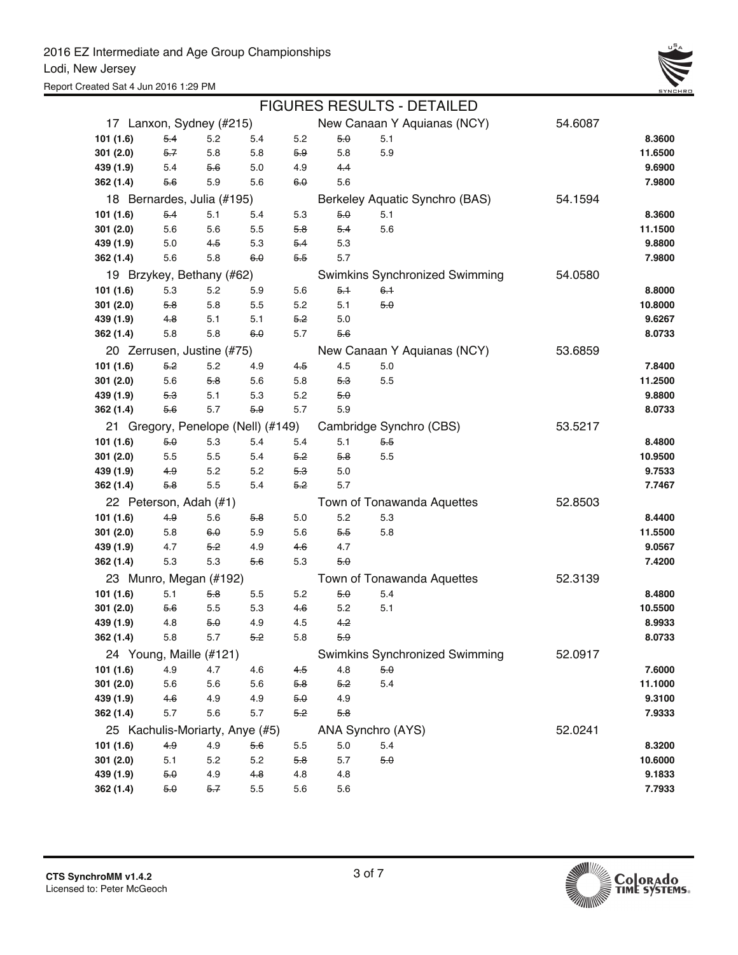

|           |         |                            |                                    |       |         | <b>FIGURES RESULTS - DETAILED</b> |         |         |
|-----------|---------|----------------------------|------------------------------------|-------|---------|-----------------------------------|---------|---------|
|           |         | 17 Lanxon, Sydney (#215)   |                                    |       |         | New Canaan Y Aquianas (NCY)       | 54.6087 |         |
| 101 (1.6) | $5-4$   | 5.2                        | 5.4                                | 5.2   | 5.0     | 5.1                               |         | 8.3600  |
| 301(2.0)  | $5 - 7$ | 5.8                        | 5.8                                | 5.9   | 5.8     | 5.9                               |         | 11.6500 |
| 439 (1.9) | 5.4     | 5.6                        | 5.0                                | 4.9   | $4-4$   |                                   |         | 9.6900  |
| 362 (1.4) | 5.6     | 5.9                        | 5.6                                | 6.0   | 5.6     |                                   |         | 7.9800  |
|           |         | 18 Bernardes, Julia (#195) |                                    |       |         | Berkeley Aquatic Synchro (BAS)    | 54.1594 |         |
| 101(1.6)  | $5-4$   | 5.1                        | 5.4                                | 5.3   | 5.0     | 5.1                               |         | 8.3600  |
| 301(2.0)  | 5.6     | 5.6                        | 5.5                                | 5.8   | $5-4$   | 5.6                               |         | 11.1500 |
| 439 (1.9) | 5.0     | 4.5                        | 5.3                                | $5-4$ | 5.3     |                                   |         | 9.8800  |
| 362 (1.4) | 5.6     | 5.8                        | 6.0                                | 5.5   | 5.7     |                                   |         | 7.9800  |
|           |         | 19 Brzykey, Bethany (#62)  |                                    |       |         | Swimkins Synchronized Swimming    | 54.0580 |         |
| 101 (1.6) | 5.3     | 5.2                        | 5.9                                | 5.6   | 5.1     | $6-1$                             |         | 8.8000  |
| 301 (2.0) | 5.8     | 5.8                        | 5.5                                | 5.2   | 5.1     | 5.0                               |         | 10.8000 |
| 439 (1.9) | 4.8     | 5.1                        | 5.1                                | 5.2   | 5.0     |                                   |         | 9.6267  |
| 362 (1.4) | 5.8     | 5.8                        | 6.0                                | 5.7   | $5-6$   |                                   |         | 8.0733  |
|           |         | 20 Zerrusen, Justine (#75) |                                    |       |         | New Canaan Y Aquianas (NCY)       | 53.6859 |         |
| 101(1.6)  | 5.2     | 5.2                        | 4.9                                | 4.5   | 4.5     | 5.0                               |         | 7.8400  |
| 301(2.0)  | 5.6     | 5.8                        | 5.6                                | 5.8   | 5.3     | 5.5                               |         | 11.2500 |
| 439 (1.9) | 5.3     | 5.1                        | 5.3                                | 5.2   | 5.0     |                                   |         | 9.8800  |
| 362 (1.4) | 5.6     | 5.7                        | 5.9                                | 5.7   | 5.9     |                                   |         | 8.0733  |
|           |         |                            | 21 Gregory, Penelope (Nell) (#149) |       |         | Cambridge Synchro (CBS)           | 53.5217 |         |
| 101(1.6)  | 5.0     | 5.3                        | 5.4                                | 5.4   | 5.1     | 5.5                               |         | 8.4800  |
| 301(2.0)  | 5.5     | 5.5                        | 5.4                                | 5.2   | 5.8     | 5.5                               |         | 10.9500 |
| 439 (1.9) | 4.9     | 5.2                        | 5.2                                | 5.3   | 5.0     |                                   |         | 9.7533  |
| 362 (1.4) | 5.8     | 5.5                        | 5.4                                | 5.2   | 5.7     |                                   |         | 7.7467  |
|           |         | 22 Peterson, Adah (#1)     |                                    |       |         | Town of Tonawanda Aquettes        | 52.8503 |         |
| 101(1.6)  | $4-9$   | 5.6                        | 5.8                                | 5.0   | 5.2     | 5.3                               |         | 8.4400  |
| 301(2.0)  | 5.8     | 6.0                        | 5.9                                | 5.6   | 5.5     | 5.8                               |         | 11.5500 |
| 439 (1.9) | 4.7     | 5.2                        | 4.9                                | 4.6   | 4.7     |                                   |         | 9.0567  |
| 362 (1.4) | 5.3     | 5.3                        | 5.6                                | 5.3   | 5.0     |                                   |         | 7.4200  |
|           |         | 23 Munro, Megan (#192)     |                                    |       |         | Town of Tonawanda Aquettes        | 52.3139 |         |
| 101(1.6)  | 5.1     | 5.8                        | 5.5                                | 5.2   | 5.0     | 5.4                               |         | 8.4800  |
| 301(2.0)  | 5.6     | 5.5                        | 5.3                                | 4.6   | 5.2     | 5.1                               |         | 10.5500 |
| 439 (1.9) | 4.8     | 5.0                        | 4.9                                | 4.5   | 4.2     |                                   |         | 8.9933  |
| 362 (1.4) | 5.8     | $5.7\,$                    | 5.2                                | 5.8   | 5.9     |                                   |         | 8.0733  |
|           |         | 24 Young, Maille (#121)    |                                    |       |         | Swimkins Synchronized Swimming    | 52.0917 |         |
| 101 (1.6) | 4.9     | 4.7                        | 4.6                                | 4.5   | 4.8     | 5.0                               |         | 7.6000  |
| 301(2.0)  | 5.6     | 5.6                        | 5.6                                | $5-8$ | 5.2     | 5.4                               |         | 11.1000 |
| 439 (1.9) | 4.6     | 4.9                        | 4.9                                | 5.0   | 4.9     |                                   |         | 9.3100  |
| 362 (1.4) | 5.7     | 5.6                        | 5.7                                | $5-2$ | 5.8     |                                   |         | 7.9333  |
|           |         |                            | 25 Kachulis-Moriarty, Anye (#5)    |       |         | ANA Synchro (AYS)                 | 52.0241 |         |
| 101 (1.6) | $4-9$   | 4.9                        | 5.6                                | 5.5   | $5.0\,$ | 5.4                               |         | 8.3200  |
| 301(2.0)  | 5.1     | 5.2                        | 5.2                                | 5.8   | 5.7     | 5.0                               |         | 10.6000 |
| 439 (1.9) | 5.0     | 4.9                        | 4.8                                | 4.8   | 4.8     |                                   |         | 9.1833  |
| 362 (1.4) | 5.0     | 5.7                        | $5.5\,$                            | 5.6   | 5.6     |                                   |         | 7.7933  |

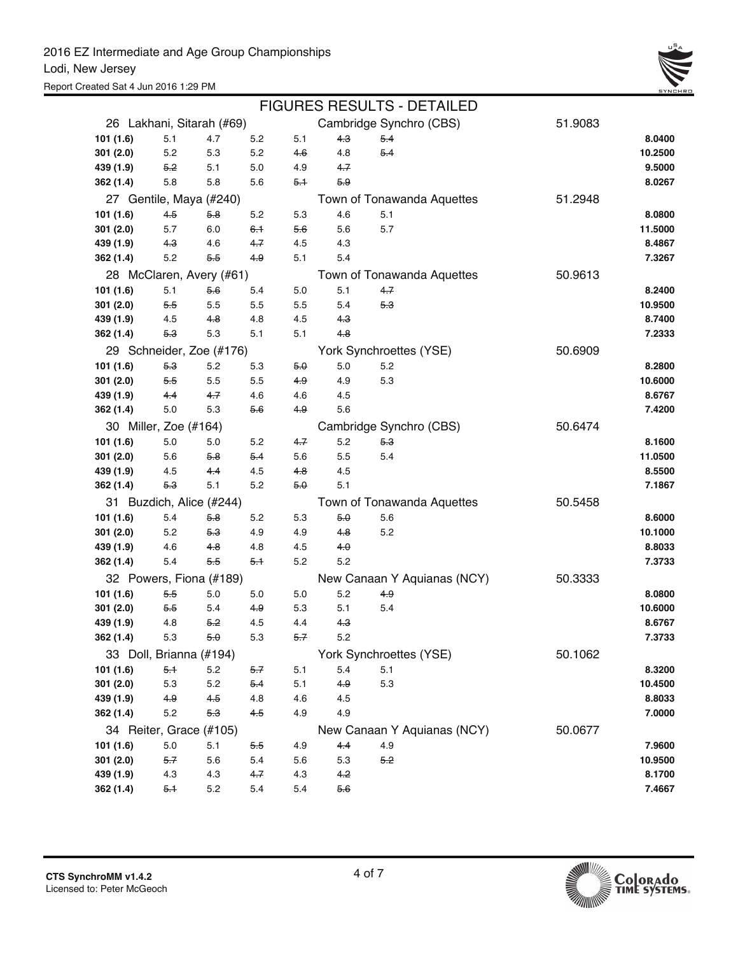|                           | <b>FIGURES RESULTS - DETAILED</b> |       |     |     |       |                             |         |         |  |  |  |  |  |
|---------------------------|-----------------------------------|-------|-----|-----|-------|-----------------------------|---------|---------|--|--|--|--|--|
| 26 Lakhani, Sitarah (#69) |                                   |       |     |     |       | Cambridge Synchro (CBS)     | 51.9083 |         |  |  |  |  |  |
| 101 (1.6)                 | 5.1                               | 4.7   | 5.2 | 5.1 | 4.3   | $5-4$                       |         | 8.0400  |  |  |  |  |  |
| 301 (2.0)                 | 5.2                               | 5.3   | 5.2 | 4.6 | 4.8   | $5-4$                       |         | 10.2500 |  |  |  |  |  |
| 439 (1.9)                 | 5.2                               | 5.1   | 5.0 | 4.9 | 4.7   |                             |         | 9.5000  |  |  |  |  |  |
| 362 (1.4)                 | 5.8                               | 5.8   | 5.6 | 5.1 | 5.9   |                             |         | 8.0267  |  |  |  |  |  |
| 27 Gentile, Maya (#240)   |                                   |       |     |     |       | Town of Tonawanda Aquettes  | 51.2948 |         |  |  |  |  |  |
| 101 (1.6)                 | 4.5                               | 5.8   | 5.2 | 5.3 | 4.6   | 5.1                         |         | 8.0800  |  |  |  |  |  |
| 301 (2.0)                 | 5.7                               | 6.0   | 6.1 | 5.6 | 5.6   | 5.7                         |         | 11.5000 |  |  |  |  |  |
| 439 (1.9)                 | 4.3                               | 4.6   | 4.7 | 4.5 | 4.3   |                             |         | 8.4867  |  |  |  |  |  |
| 362 (1.4)                 | 5.2                               | $5-5$ | 4.9 | 5.1 | 5.4   |                             |         | 7.3267  |  |  |  |  |  |
| 28 McClaren, Avery (#61)  |                                   |       |     |     |       | Town of Tonawanda Aquettes  | 50.9613 |         |  |  |  |  |  |
| 101 (1.6)                 | 5.1                               | $5-6$ | 5.4 | 5.0 | 5.1   | 4.7                         |         | 8.2400  |  |  |  |  |  |
| 301(2.0)                  | 5.5                               | 5.5   | 5.5 | 5.5 | 5.4   | 5.3                         |         | 10.9500 |  |  |  |  |  |
| 439 (1.9)                 | 4.5                               | 4.8   | 4.8 | 4.5 | 4.3   |                             |         | 8.7400  |  |  |  |  |  |
| 362 (1.4)                 | 5.3                               | 5.3   | 5.1 | 5.1 | 4.8   |                             |         | 7.2333  |  |  |  |  |  |
| 29 Schneider, Zoe (#176)  |                                   |       |     |     |       | York Synchroettes (YSE)     | 50.6909 |         |  |  |  |  |  |
| 101 (1.6)                 | 5.3                               | 5.2   | 5.3 | 5.θ | 5.0   | 5.2                         |         | 8.2800  |  |  |  |  |  |
| 301(2.0)                  | 5.5                               | 5.5   | 5.5 | 4.9 | 4.9   | 5.3                         |         | 10.6000 |  |  |  |  |  |
| 439 (1.9)                 | 4.4                               | 4.7   | 4.6 | 4.6 | 4.5   |                             |         | 8.6767  |  |  |  |  |  |
| 362 (1.4)                 | 5.0                               | 5.3   | 5.6 | 4.9 | 5.6   |                             |         | 7.4200  |  |  |  |  |  |
| 30 Miller, Zoe (#164)     |                                   |       |     |     |       | Cambridge Synchro (CBS)     | 50.6474 |         |  |  |  |  |  |
| 101 (1.6)                 | 5.0                               | 5.0   | 5.2 | 4.7 | 5.2   | 5.3                         |         | 8.1600  |  |  |  |  |  |
| 301 (2.0)                 | 5.6                               | 5.8   | 5.4 | 5.6 | 5.5   | 5.4                         |         | 11.0500 |  |  |  |  |  |
| 439 (1.9)                 | 4.5                               | 4.4   | 4.5 | 4.8 | 4.5   |                             |         | 8.5500  |  |  |  |  |  |
| 362 (1.4)                 | 5.3                               | 5.1   | 5.2 | 5.0 | 5.1   |                             |         | 7.1867  |  |  |  |  |  |
| 31 Buzdich, Alice (#244)  |                                   |       |     |     |       | Town of Tonawanda Aquettes  | 50.5458 |         |  |  |  |  |  |
| 101 (1.6)                 | 5.4                               | 5.8   | 5.2 | 5.3 | 5.0   | 5.6                         |         | 8.6000  |  |  |  |  |  |
| 301 (2.0)                 | 5.2                               | 5.3   | 4.9 | 4.9 | 4.8   | 5.2                         |         | 10.1000 |  |  |  |  |  |
| 439 (1.9)                 | 4.6                               | 4.8   | 4.8 | 4.5 | 4.0   |                             |         | 8.8033  |  |  |  |  |  |
| 362 (1.4)                 | 5.4                               | 5.5   | 5.1 | 5.2 | 5.2   |                             |         | 7.3733  |  |  |  |  |  |
| 32 Powers, Fiona (#189)   |                                   |       |     |     |       | New Canaan Y Aquianas (NCY) | 50.3333 |         |  |  |  |  |  |
| 101 (1.6)                 | 5.5                               | 5.0   | 5.0 | 5.0 | 5.2   | 4.9                         |         | 8.0800  |  |  |  |  |  |
| 301(2.0)                  | 5.5                               | 5.4   | 4.9 | 5.3 | 5.1   | 5.4                         |         | 10.6000 |  |  |  |  |  |
| 439 (1.9)                 | 4.8                               | 5.2   | 4.5 | 4.4 | $4-3$ |                             |         | 8.6767  |  |  |  |  |  |
| 362 (1.4)                 | 5.3                               | 5.0   | 5.3 | 5.7 | 52    |                             |         | 7.3733  |  |  |  |  |  |
| 33 Doll, Brianna (#194)   |                                   |       |     |     |       | York Synchroettes (YSE)     | 50.1062 |         |  |  |  |  |  |
| 101(1.6)                  | 5.1                               | 5.2   | 5.7 | 5.1 | 5.4   | 5.1                         |         | 8.3200  |  |  |  |  |  |
| 301 (2.0)                 | 5.3                               | 5.2   | 5.4 | 5.1 | 4.9   | 5.3                         |         | 10.4500 |  |  |  |  |  |
| 439 (1.9)                 | 4.9                               | 4.5   | 4.8 | 4.6 | 4.5   |                             |         | 8.8033  |  |  |  |  |  |
| 362 (1.4)                 | 5.2                               | 5.3   | 4.5 | 4.9 | 4.9   |                             |         | 7.0000  |  |  |  |  |  |
| 34 Reiter, Grace (#105)   |                                   |       |     |     |       | New Canaan Y Aquianas (NCY) | 50.0677 |         |  |  |  |  |  |
| 101 (1.6)                 | 5.0                               | 5.1   | 5.5 | 4.9 | $4-4$ | 4.9                         |         | 7.9600  |  |  |  |  |  |
| 301 (2.0)                 | $5-7$                             | 5.6   | 5.4 | 5.6 | 5.3   | 5.2                         |         | 10.9500 |  |  |  |  |  |
| 439 (1.9)                 | 4.3                               | 4.3   | 4.7 | 4.3 | 4.2   |                             |         | 8.1700  |  |  |  |  |  |
| 362 (1.4)                 | $5-1$                             | 5.2   | 5.4 | 5.4 | 5.6   |                             |         | 7.4667  |  |  |  |  |  |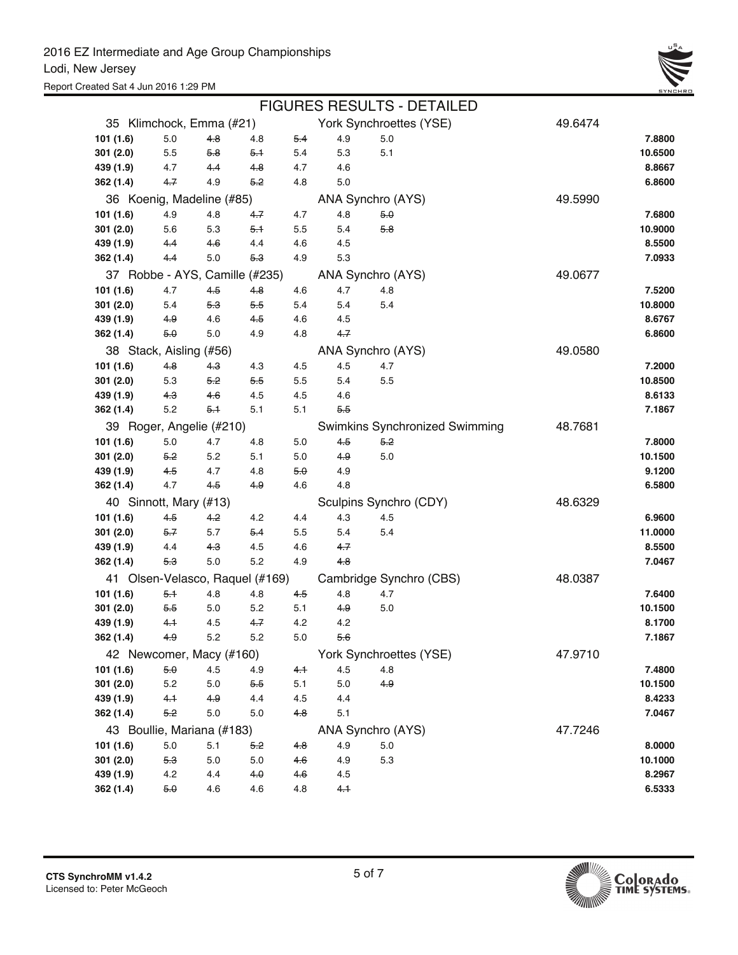

|                                 |         |       |         |     |         | <b>FIGURES RESULTS - DETAILED</b>     |         |         |
|---------------------------------|---------|-------|---------|-----|---------|---------------------------------------|---------|---------|
| 35 Klimchock, Emma (#21)        |         |       |         |     |         | York Synchroettes (YSE)               | 49.6474 |         |
| 101 (1.6)                       | $5.0\,$ | 4.8   | 4.8     | 5.4 | 4.9     | 5.0                                   |         | 7.8800  |
| 301 (2.0)                       | 5.5     | 5.8   | 5.1     | 5.4 | 5.3     | 5.1                                   |         | 10.6500 |
| 439 (1.9)                       | 4.7     | 4.4   | 4.8     | 4.7 | 4.6     |                                       |         | 8.8667  |
| 362 (1.4)                       | 4.7     | 4.9   | 5.2     | 4.8 | 5.0     |                                       |         | 6.8600  |
| 36 Koenig, Madeline (#85)       |         |       |         |     |         | ANA Synchro (AYS)                     | 49.5990 |         |
| 101 (1.6)                       | 4.9     | 4.8   | 4.7     | 4.7 | 4.8     | 5.0                                   |         | 7.6800  |
| 301 (2.0)                       | 5.6     | 5.3   | 5.1     | 5.5 | 5.4     | 5.8                                   |         | 10.9000 |
| 439 (1.9)                       | 4.4     | 4.6   | 4.4     | 4.6 | 4.5     |                                       |         | 8.5500  |
| 362 (1.4)                       | 4.4     | 5.0   | 5.3     | 4.9 | 5.3     |                                       |         | 7.0933  |
| 37 Robbe - AYS, Camille (#235)  |         |       |         |     |         | ANA Synchro (AYS)                     | 49.0677 |         |
| 101 (1.6)                       | 4.7     | $4-5$ | 4.8     | 4.6 | 4.7     | 4.8                                   |         | 7.5200  |
| 301(2.0)                        | 5.4     | 5.3   | 5.5     | 5.4 | 5.4     | 5.4                                   |         | 10.8000 |
| 439 (1.9)                       | 4.9     | 4.6   | 4.5     | 4.6 | 4.5     |                                       |         | 8.6767  |
| 362 (1.4)                       | 5.0     | 5.0   | 4.9     | 4.8 | 4.7     |                                       |         | 6.8600  |
| 38 Stack, Aisling (#56)         |         |       |         |     |         | ANA Synchro (AYS)                     | 49.0580 |         |
| 101 (1.6)                       | 4.8     | 4.3   | 4.3     | 4.5 | 4.5     | 4.7                                   |         | 7.2000  |
| 301(2.0)                        | 5.3     | 5.2   | 5.5     | 5.5 | 5.4     | 5.5                                   |         | 10.8500 |
| 439 (1.9)                       | 4.3     | 4.6   | 4.5     | 4.5 | 4.6     |                                       |         | 8.6133  |
| 362 (1.4)                       | 5.2     | 5.1   | 5.1     | 5.1 | 5.5     |                                       |         | 7.1867  |
| 39 Roger, Angelie (#210)        |         |       |         |     |         | <b>Swimkins Synchronized Swimming</b> | 48.7681 |         |
| 101 (1.6)                       | 5.0     | 4.7   | 4.8     | 5.0 | 4.5     | 5.2                                   |         | 7.8000  |
| 301(2.0)                        | 5.2     | 5.2   | 5.1     | 5.0 | 4.9     | 5.0                                   |         | 10.1500 |
| 439 (1.9)                       | 4.5     | 4.7   | 4.8     | 5.0 | 4.9     |                                       |         | 9.1200  |
| 362 (1.4)                       | 4.7     | 4.5   | 4.9     | 4.6 | 4.8     |                                       |         | 6.5800  |
| 40 Sinnott, Mary (#13)          |         |       |         |     |         | Sculpins Synchro (CDY)                | 48.6329 |         |
| 101 (1.6)                       | 4.5     | 4.2   | 4.2     | 4.4 | 4.3     | 4.5                                   |         | 6.9600  |
| 301(2.0)                        | $5 - 7$ | 5.7   | 5.4     | 5.5 | 5.4     | 5.4                                   |         | 11.0000 |
| 439 (1.9)                       | 4.4     | 4.3   | 4.5     | 4.6 | 4.7     |                                       |         | 8.5500  |
| 362 (1.4)                       | 5.3     | 5.0   | 5.2     | 4.9 | 4.8     |                                       |         | 7.0467  |
| 41 Olsen-Velasco, Raquel (#169) |         |       |         |     |         | Cambridge Synchro (CBS)               | 48.0387 |         |
| 101(1.6)                        | 5.1     | 4.8   | 4.8     | 4.5 | 4.8     | 4.7                                   |         | 7.6400  |
| 301(2.0)                        | 5.5     | 5.0   | 5.2     | 5.1 | 4.9     | 5.0                                   |         | 10.1500 |
| 439 (1.9)                       | 4.1     | 4.5   | 4.7     | 4.2 | 4.2     |                                       |         | 8.1700  |
| 362 (1.4)                       | 49      | 5.2   | 5.2     | 5.0 | 5.6     |                                       |         | 7.1867  |
| 42 Newcomer, Macy (#160)        |         |       |         |     |         | York Synchroettes (YSE)               | 47.9710 |         |
| 101(1.6)                        | 5.0     | 4.5   | 4.9     | 4.1 | 4.5     | 4.8                                   |         | 7.4800  |
| 301(2.0)                        | 5.2     | 5.0   | 5.5     | 5.1 | $5.0\,$ | 4.9                                   |         | 10.1500 |
| 439 (1.9)                       | 4.1     | 4.9   | 4.4     | 4.5 | 4.4     |                                       |         | 8.4233  |
| 362 (1.4)                       | 5.2     | 5.0   | $5.0\,$ | 4.8 | 5.1     |                                       |         | 7.0467  |
| 43 Boullie, Mariana (#183)      |         |       |         |     |         | ANA Synchro (AYS)                     | 47.7246 |         |
| 101 (1.6)                       | $5.0\,$ | 5.1   | 5.2     | 4.8 | 4.9     | 5.0                                   |         | 8.0000  |
| 301(2.0)                        | 5.3     | 5.0   | $5.0\,$ | 4.6 | 4.9     | 5.3                                   |         | 10.1000 |
| 439 (1.9)                       | 4.2     | 4.4   | 4.0     | 4.6 | 4.5     |                                       |         | 8.2967  |
| 362 (1.4)                       | 5.0     | 4.6   | 4.6     | 4.8 | 4.1     |                                       |         | 6.5333  |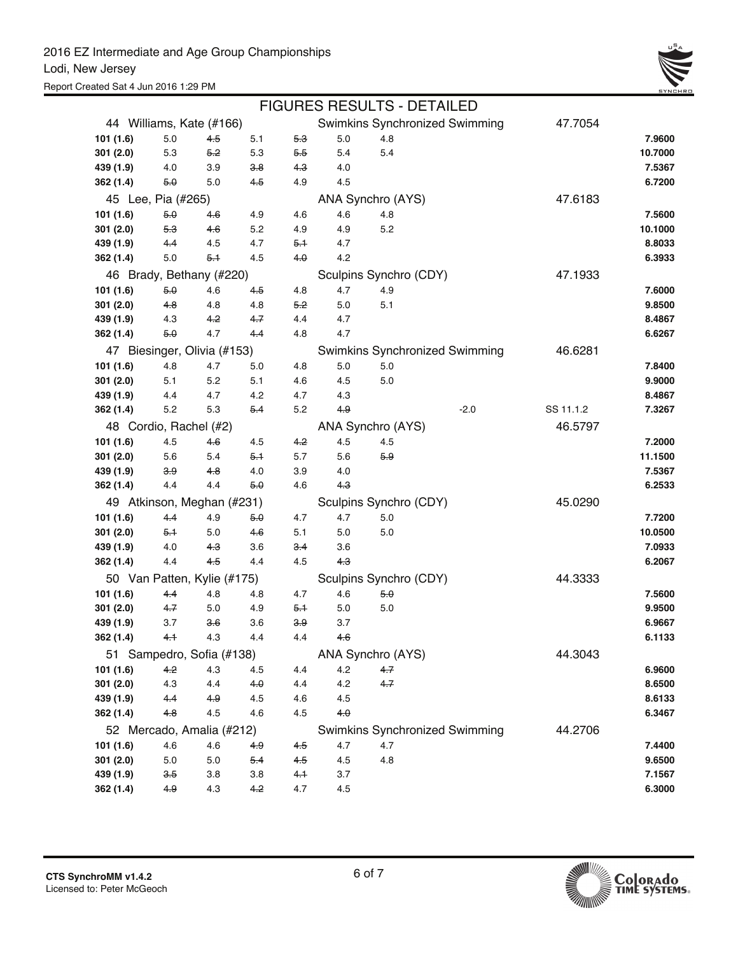|           |                             |       |         |           |       |                        | <b>FIGURES RESULTS - DETAILED</b> |           |         |
|-----------|-----------------------------|-------|---------|-----------|-------|------------------------|-----------------------------------|-----------|---------|
|           | 44 Williams, Kate (#166)    |       |         |           |       |                        | Swimkins Synchronized Swimming    | 47.7054   |         |
| 101 (1.6) | 5.0                         | 4.5   | 5.1     | 5.3       | 5.0   | 4.8                    |                                   |           | 7.9600  |
| 301(2.0)  | 5.3                         | 5.2   | 5.3     | 5.5       | 5.4   | 5.4                    |                                   |           | 10.7000 |
| 439 (1.9) | 4.0                         | 3.9   | 3.8     | 4.3       | 4.0   |                        |                                   |           | 7.5367  |
| 362 (1.4) | 5.0                         | 5.0   | $4-5$   | 4.9       | 4.5   |                        |                                   |           | 6.7200  |
|           | 45 Lee, Pia (#265)          |       |         |           |       | ANA Synchro (AYS)      |                                   | 47.6183   |         |
| 101 (1.6) | 5.0                         | 4.6   | 4.9     | 4.6       | 4.6   | 4.8                    |                                   |           | 7.5600  |
| 301(2.0)  | 5.3                         | 4.6   | 5.2     | 4.9       | 4.9   | 5.2                    |                                   |           | 10.1000 |
| 439 (1.9) | 4.4                         | 4.5   | 4.7     | 5.1       | 4.7   |                        |                                   |           | 8.8033  |
| 362 (1.4) | 5.0                         | $5-1$ | 4.5     | $4\theta$ | 4.2   |                        |                                   |           | 6.3933  |
|           | 46 Brady, Bethany (#220)    |       |         |           |       | Sculpins Synchro (CDY) |                                   | 47.1933   |         |
| 101 (1.6) | 5.0                         | 4.6   | 4.5     | 4.8       | 4.7   | 4.9                    |                                   |           | 7.6000  |
| 301(2.0)  | 4.8                         | 4.8   | 4.8     | 5.2       | 5.0   | 5.1                    |                                   |           | 9.8500  |
| 439 (1.9) | 4.3                         | 4.2   | $4 - 7$ | 4.4       | 4.7   |                        |                                   |           | 8.4867  |
| 362 (1.4) | 5.0                         | 4.7   | $4-4$   | 4.8       | 4.7   |                        |                                   |           | 6.6267  |
|           | 47 Biesinger, Olivia (#153) |       |         |           |       |                        | Swimkins Synchronized Swimming    | 46.6281   |         |
| 101 (1.6) | 4.8                         | 4.7   | 5.0     | 4.8       | 5.0   | 5.0                    |                                   |           | 7.8400  |
| 301(2.0)  | 5.1                         | 5.2   | 5.1     | 4.6       | 4.5   | 5.0                    |                                   |           | 9.9000  |
| 439 (1.9) | 4.4                         | 4.7   | 4.2     | 4.7       | 4.3   |                        |                                   |           | 8.4867  |
| 362 (1.4) | 5.2                         | 5.3   | $5-4$   | 5.2       | 4.9   |                        | $-2.0$                            | SS 11.1.2 | 7.3267  |
|           | 48 Cordio, Rachel (#2)      |       |         |           |       | ANA Synchro (AYS)      |                                   | 46.5797   |         |
| 101 (1.6) | 4.5                         | 4.6   | 4.5     | 4.2       | 4.5   | 4.5                    |                                   |           | 7.2000  |
| 301(2.0)  | 5.6                         | 5.4   | $5-1$   | 5.7       | 5.6   | 5.9                    |                                   |           | 11.1500 |
| 439 (1.9) | 3.9                         | 4.8   | 4.0     | 3.9       | 4.0   |                        |                                   |           | 7.5367  |
| 362 (1.4) | 4.4                         | 4.4   | $5-0$   | 4.6       | $4-3$ |                        |                                   |           | 6.2533  |
|           | 49 Atkinson, Meghan (#231)  |       |         |           |       | Sculpins Synchro (CDY) |                                   | 45.0290   |         |
| 101 (1.6) | $4-4$                       | 4.9   | 5.0     | 4.7       | 4.7   | 5.0                    |                                   |           | 7.7200  |
| 301(2.0)  | 5.1                         | 5.0   | $4-6$   | 5.1       | 5.0   | 5.0                    |                                   |           | 10.0500 |
| 439 (1.9) | 4.0                         | 4.3   | 3.6     | $3-4$     | 3.6   |                        |                                   |           | 7.0933  |
| 362 (1.4) | 4.4                         | 4.5   | 4.4     | 4.5       | $4-3$ |                        |                                   |           | 6.2067  |
|           | 50 Van Patten, Kylie (#175) |       |         |           |       | Sculpins Synchro (CDY) |                                   | 44.3333   |         |
| 101 (1.6) | 44                          | 4.8   | 4.8     | 4.7       | 4.6   | 5.0                    |                                   |           | 7.5600  |
| 301(2.0)  | 4.7                         | 5.0   | 4.9     | 5.1       | 5.0   | 5.0                    |                                   |           | 9.9500  |
| 439 (1.9) | 3.7                         | 36    | 3.6     | 3.9       | 3.7   |                        |                                   |           | 6.9667  |
| 362 (1.4) | 4.1                         | 4.3   | 4.4     | 4.4       | 4.6   |                        |                                   |           | 6.1133  |
|           | 51 Sampedro, Sofia (#138)   |       |         |           |       | ANA Synchro (AYS)      |                                   | 44.3043   |         |
| 101 (1.6) | 4.2                         | 4.3   | 4.5     | 4.4       | 4.2   | 4.7                    |                                   |           | 6.9600  |
| 301 (2.0) | 4.3                         | 4.4   | 4.0     | 4.4       | 4.2   | 4.7                    |                                   |           | 8.6500  |
| 439 (1.9) | 4.4                         | 4.9   | 4.5     | 4.6       | 4.5   |                        |                                   |           | 8.6133  |
| 362 (1.4) | 4.8                         | 4.5   | 4.6     | 4.5       | $4-0$ |                        |                                   |           | 6.3467  |
|           | 52 Mercado, Amalia (#212)   |       |         |           |       |                        | Swimkins Synchronized Swimming    | 44.2706   |         |
| 101 (1.6) | 4.6                         | 4.6   | 4.9     | 4.5       | 4.7   | 4.7                    |                                   |           | 7.4400  |
| 301 (2.0) | 5.0                         | 5.0   | 5.4     | 4.5       | 4.5   | 4.8                    |                                   |           | 9.6500  |
| 439 (1.9) | 3.5                         | 3.8   | 3.8     | $4-1$     | 3.7   |                        |                                   |           | 7.1567  |
| 362 (1.4) | 4.9                         | 4.3   | 4.2     | 4.7       | 4.5   |                        |                                   |           | 6.3000  |

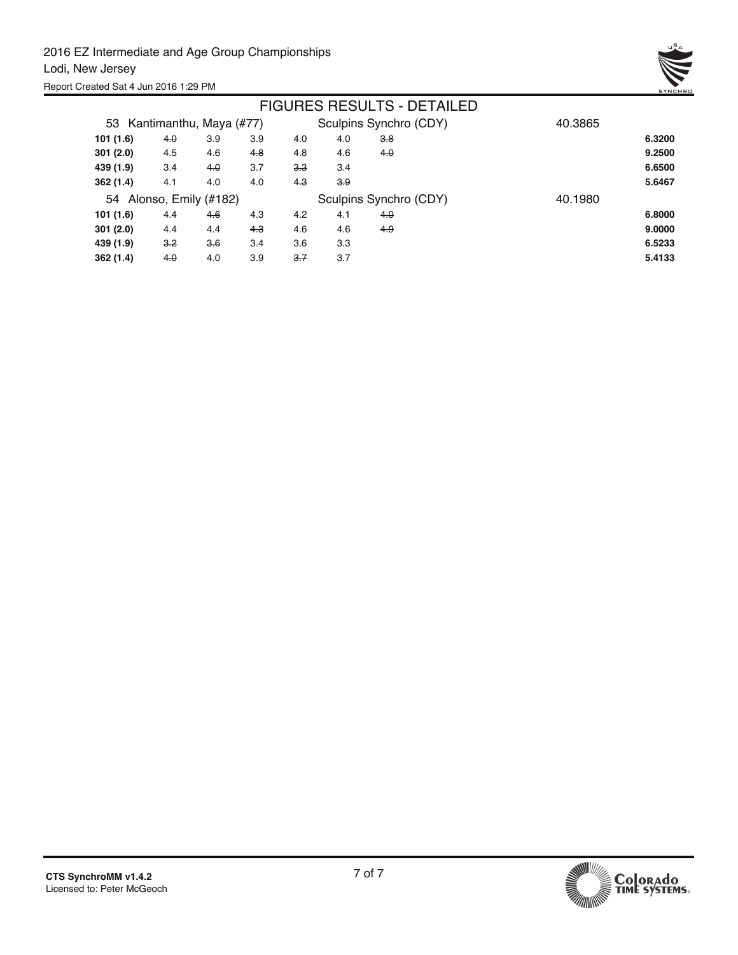

|                            |       |     |     |     |     | <b>FIGURES RESULTS - DETAILED</b> |         |        |
|----------------------------|-------|-----|-----|-----|-----|-----------------------------------|---------|--------|
| 53 Kantimanthu, Maya (#77) |       |     |     |     |     | Sculpins Synchro (CDY)            | 40.3865 |        |
| 101(1.6)                   | 4.0   | 3.9 | 3.9 | 4.0 | 4.0 | 3.8                               |         | 6.3200 |
| 301(2.0)                   | 4.5   | 4.6 | 4.8 | 4.8 | 4.6 | 4.0                               |         | 9.2500 |
| 439 (1.9)                  | 3.4   | 4.0 | 3.7 | 3.3 | 3.4 |                                   |         | 6.6500 |
| 362(1.4)                   | 4.1   | 4.0 | 4.0 | 4.3 | 3.9 |                                   |         | 5.6467 |
| 54 Alonso, Emily (#182)    |       |     |     |     |     | Sculpins Synchro (CDY)            | 40.1980 |        |
| 101(1.6)                   | 4.4   | 4.6 | 4.3 | 4.2 | 4.1 | 4.0                               |         | 6.8000 |
| 301(2.0)                   | 4.4   | 4.4 | 4.3 | 4.6 | 4.6 | 4.9                               |         | 9.0000 |
| 439 (1.9)                  | $3-2$ | 3.6 | 3.4 | 3.6 | 3.3 |                                   |         | 6.5233 |
| 362 (1.4)                  | 4.0   | 4.0 | 3.9 | 3.7 | 3.7 |                                   |         | 5.4133 |

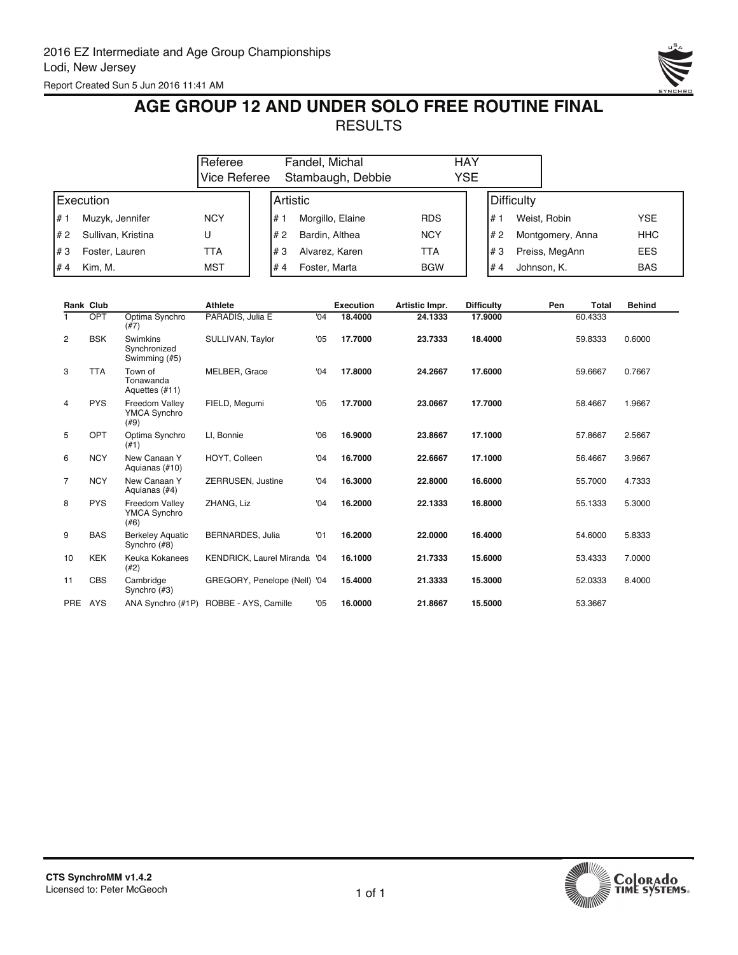

## **AGE GROUP 12 AND UNDER SOLO FREE ROUTINE FINAL RESULTS**

|      |                    | Referee<br>Vice Referee |           | Fandel, Michal<br>Stambaugh, Debbie | HAY<br>YSE |  |            |                  |            |
|------|--------------------|-------------------------|-----------|-------------------------------------|------------|--|------------|------------------|------------|
|      | Execution          |                         | IArtistic |                                     |            |  | Difficulty |                  |            |
| l# 1 | Muzyk, Jennifer    | <b>NCY</b>              | #         | Morgillo, Elaine                    | <b>RDS</b> |  | #1         | Weist, Robin     | YSE        |
| I# 2 | Sullivan, Kristina | U                       | l# 2      | Bardin, Althea                      | <b>NCY</b> |  | #2         | Montgomery, Anna | <b>HHC</b> |
| l#3  | Foster, Lauren     | TTA                     | l#3       | Alvarez, Karen                      | TTA        |  | l#3        | Preiss, MegAnn   | <b>EES</b> |
| l#4  | Kim. M.            | <b>MST</b>              | #4        | Foster, Marta                       | <b>BGW</b> |  | #4         | Johnson, K.      | <b>BAS</b> |

|                | <b>Rank Club</b> |                                               | <b>Athlete</b>                      |     | <b>Execution</b> | Artistic Impr. | <b>Difficulty</b> | Pen | <b>Total</b> | <b>Behind</b> |
|----------------|------------------|-----------------------------------------------|-------------------------------------|-----|------------------|----------------|-------------------|-----|--------------|---------------|
|                | <b>OPT</b>       | Optima Synchro<br>(#7)                        | PARADIS, Julia E                    | '04 | 18,4000          | 24.1333        | 17.9000           |     | 60.4333      |               |
| $\overline{2}$ | <b>BSK</b>       | Swimkins<br>Synchronized<br>Swimming (#5)     | SULLIVAN, Taylor                    | '05 | 17.7000          | 23.7333        | 18.4000           |     | 59.8333      | 0.6000        |
| 3              | <b>TTA</b>       | Town of<br>Tonawanda<br>Aquettes (#11)        | MELBER, Grace                       | '04 | 17.8000          | 24.2667        | 17.6000           |     | 59.6667      | 0.7667        |
| 4              | <b>PYS</b>       | Freedom Vallev<br>YMCA Synchro<br>(#9)        | FIELD, Megumi                       | '05 | 17.7000          | 23.0667        | 17.7000           |     | 58.4667      | 1.9667        |
| 5              | OPT              | Optima Synchro<br>(#1)                        | LI, Bonnie                          | '06 | 16.9000          | 23.8667        | 17.1000           |     | 57.8667      | 2.5667        |
| 6              | <b>NCY</b>       | New Canaan Y<br>Aquianas (#10)                | HOYT, Colleen                       | '04 | 16.7000          | 22.6667        | 17.1000           |     | 56.4667      | 3.9667        |
| $\overline{7}$ | <b>NCY</b>       | New Canaan Y<br>Aquianas (#4)                 | ZERRUSEN, Justine                   | '04 | 16.3000          | 22,8000        | 16.6000           |     | 55.7000      | 4.7333        |
| 8              | <b>PYS</b>       | Freedom Vallev<br><b>YMCA Synchro</b><br>(#6) | ZHANG, Liz                          | '04 | 16.2000          | 22.1333        | 16.8000           |     | 55.1333      | 5.3000        |
| 9              | <b>BAS</b>       | <b>Berkeley Aquatic</b><br>Synchro (#8)       | <b>BERNARDES, Julia</b>             | '01 | 16.2000          | 22.0000        | 16.4000           |     | 54.6000      | 5.8333        |
| 10             | <b>KEK</b>       | Keuka Kokanees<br>(42)                        | <b>KENDRICK, Laurel Miranda '04</b> |     | 16.1000          | 21.7333        | 15.6000           |     | 53.4333      | 7.0000        |
| 11             | <b>CBS</b>       | Cambridge<br>Synchro (#3)                     | GREGORY, Penelope (Nell) '04        |     | 15.4000          | 21.3333        | 15.3000           |     | 52.0333      | 8.4000        |
| PRE AYS        |                  | ANA Synchro (#1P)                             | ROBBE - AYS, Camille                | '05 | 16.0000          | 21.8667        | 15.5000           |     | 53.3667      |               |

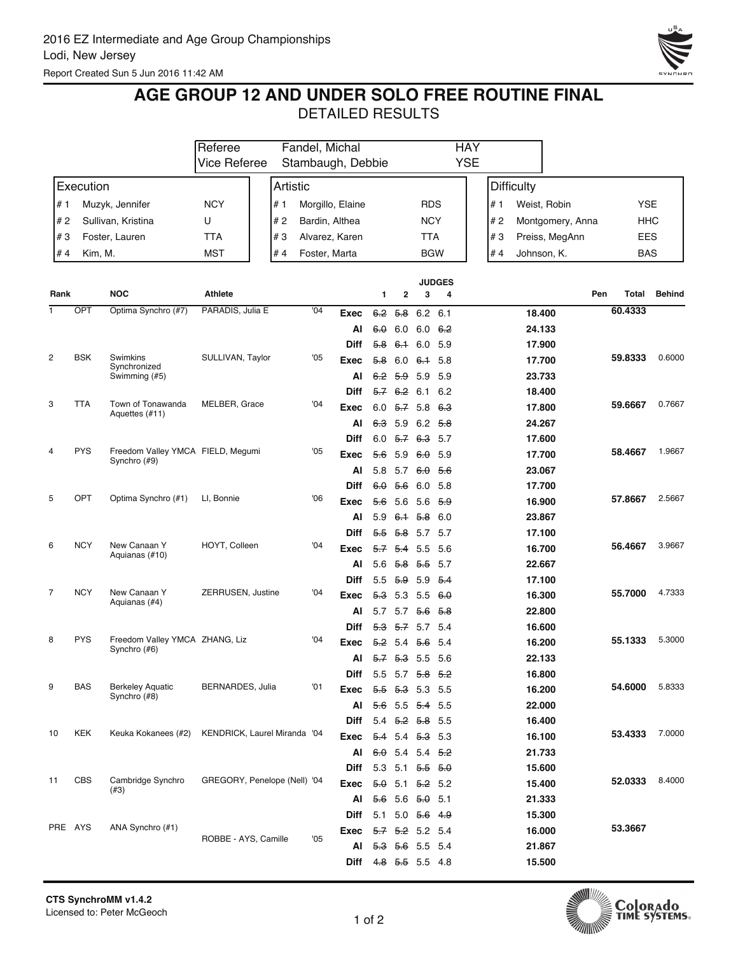

## **AGE GROUP 12 AND UNDER SOLO FREE ROUTINE FINAL**

|                         |            |                                     | Fandel, Michal<br>Referee    |  |          |     | <b>HAY</b>                  |                            |                               |                    |                |                   |             |                  |            |               |
|-------------------------|------------|-------------------------------------|------------------------------|--|----------|-----|-----------------------------|----------------------------|-------------------------------|--------------------|----------------|-------------------|-------------|------------------|------------|---------------|
|                         |            |                                     | <b>Vice Referee</b>          |  |          |     | Stambaugh, Debbie           |                            |                               |                    | <b>YSE</b>     |                   |             |                  |            |               |
|                         | Execution  |                                     |                              |  | Artistic |     |                             |                            |                               |                    |                | <b>Difficulty</b> |             |                  |            |               |
| # 1                     |            | Muzyk, Jennifer                     | <b>NCY</b>                   |  | # 1      |     | Morgillo, Elaine            |                            |                               | <b>RDS</b>         |                | # 1               |             | Weist, Robin     | <b>YSE</b> |               |
| #2                      |            | Sullivan, Kristina                  | U                            |  | #2       |     | Bardin, Althea              |                            |                               | <b>NCY</b>         |                | # 2               |             | Montgomery, Anna | HHC        |               |
| #3                      |            | Foster, Lauren                      | <b>TTA</b>                   |  | #3       |     | Alvarez, Karen              |                            |                               | TTA                |                | #3                |             | Preiss, MegAnn   | <b>EES</b> |               |
| #4                      | Kim, M.    |                                     | MST                          |  | #4       |     | Foster, Marta               |                            |                               | <b>BGW</b>         |                | # 4               | Johnson, K. |                  | <b>BAS</b> |               |
|                         |            |                                     |                              |  |          |     |                             |                            |                               |                    |                |                   |             |                  |            |               |
|                         |            |                                     |                              |  |          |     |                             |                            |                               |                    | <b>JUDGES</b>  |                   |             |                  |            |               |
| Rank                    |            | <b>NOC</b>                          | <b>Athlete</b>               |  |          |     |                             | 1                          | 2                             | 3                  | 4              |                   |             | Pen              | Total      | <b>Behind</b> |
| 1                       | OPT        | Optima Synchro (#7)                 | PARADIS, Julia E             |  |          | '04 | Exec                        | 6.2                        | <del>5.8</del>                | 6.2 6.1            |                |                   | 18.400      |                  | 60.4333    |               |
|                         |            |                                     |                              |  |          |     | Al                          | 6.0                        | 6.0                           | 6.0 $6.2$          |                |                   | 24.133      |                  |            |               |
|                         |            |                                     |                              |  |          |     | Diff                        | 5.8                        | 6.1 6.0 5.9                   |                    |                |                   | 17.900      |                  |            |               |
| $\overline{\mathbf{c}}$ | <b>BSK</b> | Swimkins<br>Synchronized            | SULLIVAN, Taylor             |  |          | '05 | Exec                        | 58                         |                               | $6.0$ $6.1$ 5.8    |                |                   | 17.700      |                  | 59.8333    | 0.6000        |
|                         |            | Swimming (#5)                       |                              |  |          |     | AI                          |                            | 6.2 5.9 5.9 5.9               |                    |                |                   | 23.733      |                  |            |               |
|                         |            |                                     |                              |  |          |     | <b>Diff</b>                 |                            | $5.7 \quad 6.2$               | 6.1 6.2            |                |                   | 18.400      |                  |            |               |
| 3                       | <b>TTA</b> | Town of Tonawanda<br>Aquettes (#11) | MELBER, Grace                |  |          | '04 | Exec                        | 6.0                        | 5.7                           | 5.8                | 6.3            |                   | 17.800      |                  | 59.6667    | 0.7667        |
|                         |            |                                     |                              |  |          |     | Al                          | 63                         | 5.9                           | $6.2$ $5.8$        |                |                   | 24.267      |                  |            |               |
|                         |            |                                     |                              |  |          |     | Diff                        |                            | $6.0$ 5.7 6.3 5.7             |                    |                |                   | 17.600      |                  |            |               |
| 4                       | <b>PYS</b> | Freedom Valley YMCA FIELD, Megumi   |                              |  |          | '05 | Exec                        | 56                         | 5.9                           | 6.0 5.9            |                |                   | 17.700      |                  | 58.4667    | 1.9667        |
|                         |            | Synchro (#9)                        |                              |  |          |     | AI                          | 5.8                        | 5.7                           | <del>6.0</del> 5.6 |                |                   | 23.067      |                  |            |               |
|                         |            |                                     |                              |  |          |     | <b>Diff</b>                 | $6\theta$                  | 5.6                           | 6.0 5.8            |                |                   | 17.700      |                  |            |               |
| 5                       | OPT        | Optima Synchro (#1)                 | LI, Bonnie                   |  |          | '06 | Exec                        | 56                         | 5.6                           | $5.6$ $5.9$        |                |                   | 16.900      |                  | 57.8667    | 2.5667        |
|                         |            |                                     |                              |  |          |     | Al                          | 5.9                        | $6.1$ 5.8 6.0                 |                    |                |                   | 23.867      |                  |            |               |
|                         |            |                                     |                              |  |          |     | Diff                        |                            | 5.5 5.8 5.7 5.7               |                    |                |                   | 17.100      |                  |            |               |
| 6                       | <b>NCY</b> | New Canaan Y                        | HOYT, Colleen                |  |          | '04 | Exec                        | 5.7                        | 5.4                           | 5.5 5.6            |                |                   | 16.700      |                  | 56.4667    | 3.9667        |
|                         |            | Aquianas (#10)                      |                              |  |          |     | AI                          |                            | 5.6 5.8 5.5 5.7               |                    |                |                   | 22.667      |                  |            |               |
|                         |            |                                     |                              |  |          |     | <b>Diff</b>                 | 5.5                        | <del>5.9</del>                | 5.9                | 5.4            |                   | 17.100      |                  |            |               |
| 7                       | <b>NCY</b> | New Canaan Y                        | ZERRUSEN, Justine            |  |          | '04 | Exec                        | <del>5.3</del>             | 5.3                           | $5.5 \t6.0$        |                |                   | 16.300      |                  | 55.7000    | 4.7333        |
|                         |            | Aquianas (#4)                       |                              |  |          |     | AI                          | 5.7                        | 5.7                           | 56                 | <del>5.8</del> |                   | 22.800      |                  |            |               |
|                         |            |                                     |                              |  |          |     | Diff                        |                            | 5.3 5.7 5.7 5.4               |                    |                |                   | 16.600      |                  |            |               |
| 8                       | <b>PYS</b> | Freedom Valley YMCA ZHANG, Liz      |                              |  |          | '04 | Exec                        | $5.2$ 5.4                  |                               | <del>5.6</del> 5.4 |                |                   | 16.200      |                  | 55.1333    | 5.3000        |
|                         |            | Synchro (#6)                        |                              |  |          |     | AI                          | 5.7                        | 5.3 5.5                       |                    | - 5.6          |                   | 22.133      |                  |            |               |
|                         |            |                                     |                              |  |          |     | Diff                        |                            | 5.5 5.7 5.8 5.2               |                    |                |                   | 16.800      |                  |            |               |
| 9                       | <b>BAS</b> | <b>Berkeley Aquatic</b>             | BERNARDES, Julia             |  |          | '01 |                             | <del>5.5 5.3</del> 5.3 5.5 |                               |                    |                |                   | 16.200      |                  | 54.6000    | 5.8333        |
|                         |            | Synchro (#8)                        |                              |  |          |     | Exec                        | Al 5.6 5.5 5.4 5.5         |                               |                    |                |                   | 22.000      |                  |            |               |
|                         |            |                                     |                              |  |          |     |                             |                            | 5.4 $5.2$ $5.8$ 5.5           |                    |                |                   | 16.400      |                  |            |               |
| 10                      | KEK        | Keuka Kokanees (#2)                 | KENDRICK, Laurel Miranda '04 |  |          |     | Diff                        |                            |                               |                    |                |                   |             |                  | 53.4333    | 7.0000        |
|                         |            |                                     |                              |  |          |     | Exec                        |                            | 5.4 5.4 5.3 5.3               |                    |                |                   | 16.100      |                  |            |               |
|                         |            |                                     |                              |  |          |     | AI                          |                            | $6.0$ 5.4 5.4 5.2             |                    |                |                   | 21.733      |                  |            |               |
| 11                      | <b>CBS</b> | Cambridge Synchro                   | GREGORY, Penelope (Nell) '04 |  |          |     | Diff                        |                            | 5.3 5.1 $\frac{6.6}{6.0}$ 5.0 |                    |                |                   | 15.600      |                  | 52.0333    | 8.4000        |
|                         |            | (#3)                                |                              |  |          |     | Exec                        |                            | $5.0$ 5.1 $5.2$ 5.2           |                    |                |                   | 15.400      |                  |            |               |
|                         |            |                                     |                              |  |          |     |                             | Al 5.6 5.6 5.0 5.1         |                               |                    |                |                   | 21.333      |                  |            |               |
|                         |            |                                     |                              |  |          |     | Diff                        |                            | 5.1 5.0 $\frac{5.6}{0.9}$ 4.9 |                    |                |                   | 15.300      |                  |            |               |
| PRE AYS                 |            | ANA Synchro (#1)                    | ROBBE - AYS, Camille         |  |          | '05 | Exec                        |                            | $5.7$ $5.2$ 5.2 5.4           |                    |                |                   | 16.000      |                  | 53.3667    |               |
|                         |            |                                     |                              |  |          |     | AI                          |                            | <del>5.3 5.6</del> 5.5 5.4    |                    |                |                   | 21.867      |                  |            |               |
|                         |            |                                     |                              |  |          |     | <b>Diff</b> 4.8 5.5 5.5 4.8 |                            |                               |                    |                |                   | 15.500      |                  |            |               |

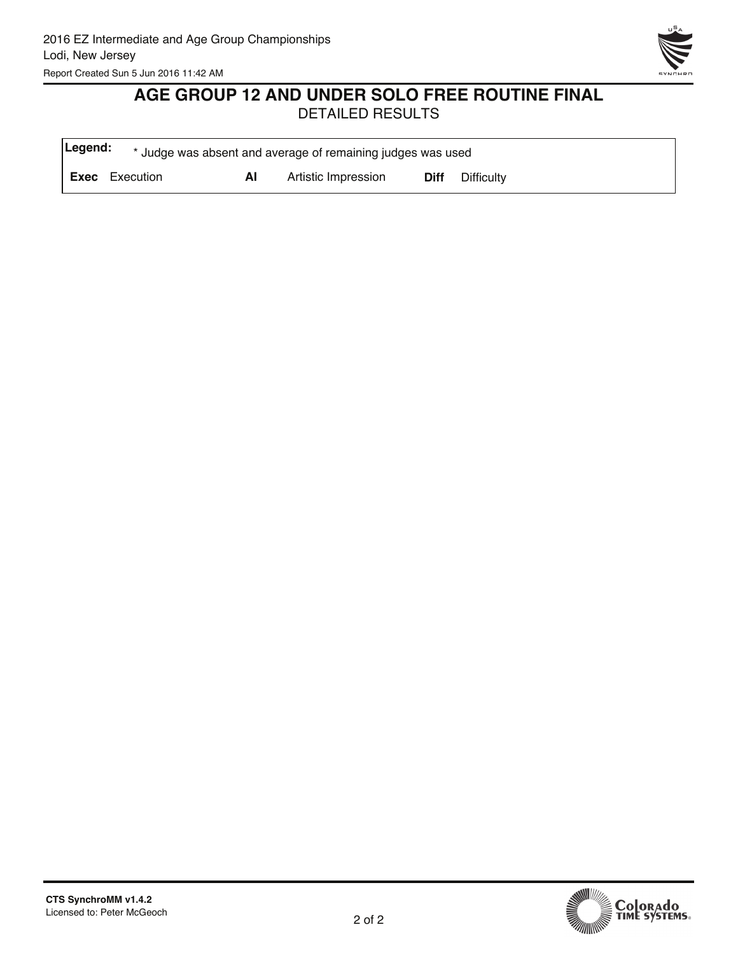

# **AGE GROUP 12 AND UNDER SOLO FREE ROUTINE FINAL**

| Legend: |                       |    | * Judge was absent and average of remaining judges was used |             |            |
|---------|-----------------------|----|-------------------------------------------------------------|-------------|------------|
|         | <b>Exec</b> Execution | ΑI | Artistic Impression                                         | <b>Diff</b> | Difficulty |

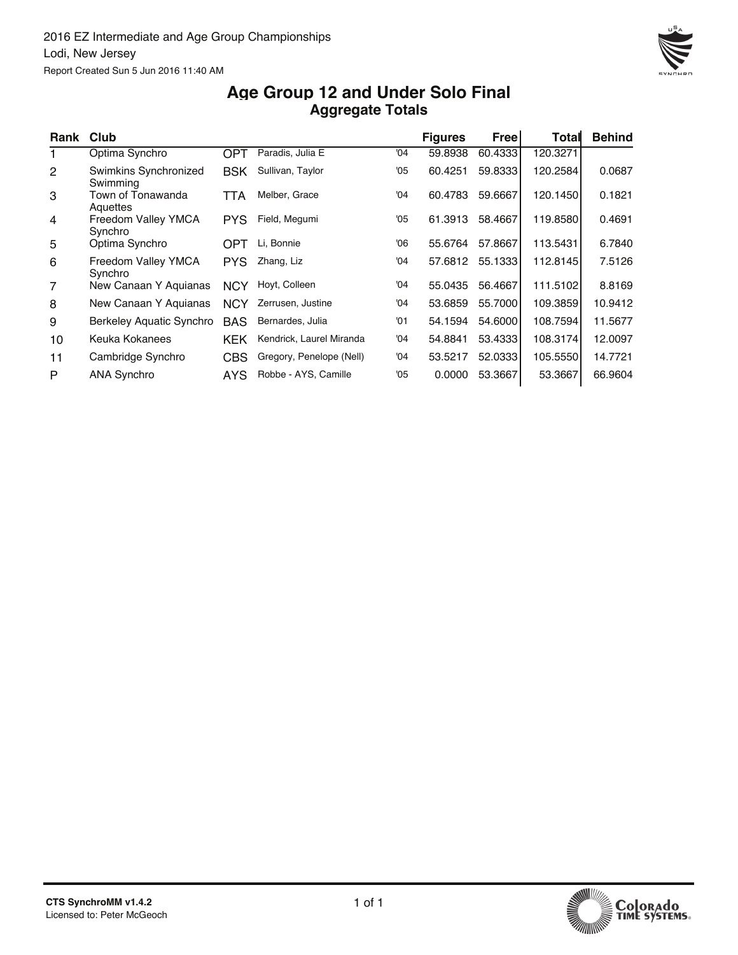

#### **Aggregate Totals Age Group 12 and Under Solo Final**

| Rank           | <b>Club</b>                       |            |                          |     | <b>Figures</b> | Free    | Total    | <b>Behind</b> |
|----------------|-----------------------------------|------------|--------------------------|-----|----------------|---------|----------|---------------|
|                | Optima Synchro                    | <b>OPT</b> | Paradis, Julia E         | '04 | 59.8938        | 60.4333 | 120.3271 |               |
| 2              | Swimkins Synchronized<br>Swimming | <b>BSK</b> | Sullivan, Taylor         | '05 | 60.4251        | 59.8333 | 120.2584 | 0.0687        |
| 3              | Town of Tonawanda<br>Aquettes     | TTA        | Melber, Grace            | '04 | 60.4783        | 59.6667 | 120.1450 | 0.1821        |
| 4              | Freedom Valley YMCA<br>Synchro    | <b>PYS</b> | Field, Megumi            | '05 | 61.3913        | 58.4667 | 119.8580 | 0.4691        |
| 5              | Optima Synchro                    | <b>OPT</b> | Li, Bonnie               | 06' | 55.6764        | 57.8667 | 113.5431 | 6.7840        |
| 6              | Freedom Valley YMCA<br>Synchro    | <b>PYS</b> | Zhang, Liz               | '04 | 57.6812        | 55.1333 | 112.8145 | 7.5126        |
| $\overline{7}$ | New Canaan Y Aquianas             | <b>NCY</b> | Hoyt, Colleen            | '04 | 55.0435        | 56.4667 | 111.5102 | 8.8169        |
| 8              | New Canaan Y Aquianas             | <b>NCY</b> | Zerrusen, Justine        | '04 | 53.6859        | 55.7000 | 109.3859 | 10.9412       |
| 9              | Berkeley Aquatic Synchro          | <b>BAS</b> | Bernardes, Julia         | '01 | 54.1594        | 54.6000 | 108.7594 | 11.5677       |
| 10             | Keuka Kokanees                    | <b>KEK</b> | Kendrick, Laurel Miranda | '04 | 54.8841        | 53.4333 | 108.3174 | 12.0097       |
| 11             | Cambridge Synchro                 | <b>CBS</b> | Gregory, Penelope (Nell) | '04 | 53.5217        | 52.0333 | 105.5550 | 14.7721       |
| P              | <b>ANA Synchro</b>                | <b>AYS</b> | Robbe - AYS, Camille     | '05 | 0.0000         | 53.3667 | 53.3667  | 66.9604       |



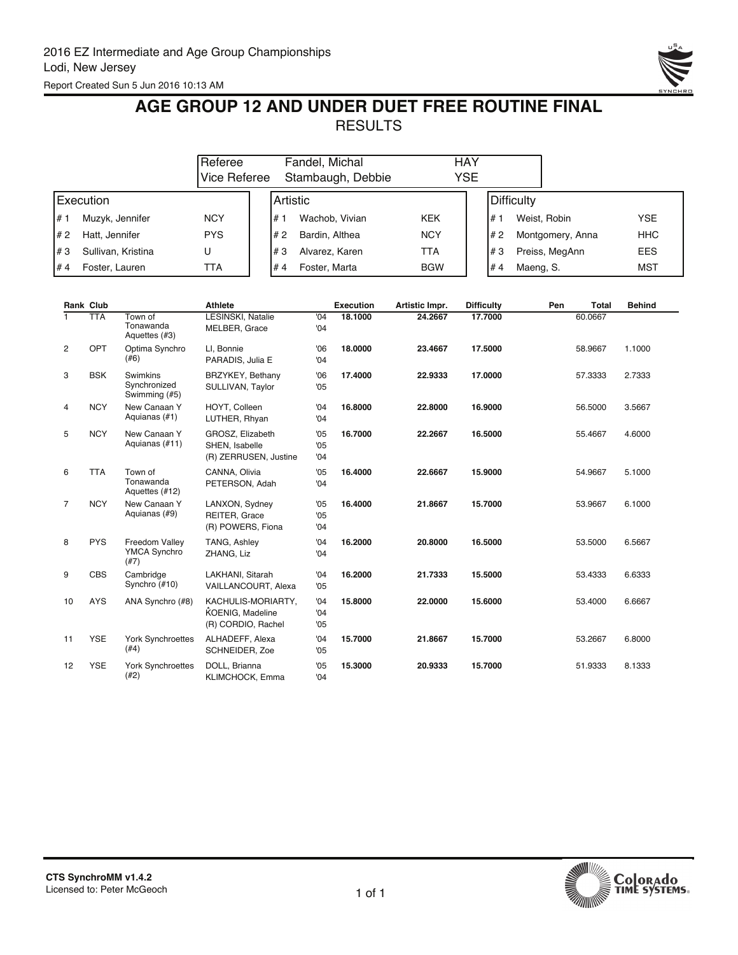

## **AGE GROUP 12 AND UNDER DUET FREE ROUTINE FINAL RESULTS**

|      |                    | Referee<br>Vice Referee |      | Fandel, Michal<br>Stambaugh, Debbie | HAY<br><b>YSE</b> |                 |                  |            |
|------|--------------------|-------------------------|------|-------------------------------------|-------------------|-----------------|------------------|------------|
|      | Execution          |                         |      | <b>IArtistic</b>                    |                   | Difficulty      |                  |            |
| l# 1 | Muzyk, Jennifer    | <b>NCY</b>              | #    | Wachob, Vivian                      | KEK               | l# 1            | Weist, Robin     | <b>YSE</b> |
| I# 2 | Hatt, Jennifer     | <b>PYS</b>              | l# 2 | Bardin, Althea                      | <b>NCY</b>        | #2              | Montgomery, Anna | <b>HHC</b> |
| l#3  | Sullivan, Kristina | U                       | l#3  | Alvarez, Karen                      | TTA               | l#3             | Preiss, MegAnn   | <b>EES</b> |
| l# 4 | Foster, Lauren     | TTA                     | l#4  | Foster, Marta                       | <b>BGW</b>        | #4<br>Maeng, S. |                  | <b>MST</b> |

|                | Rank Club  |                                               | <b>Athlete</b>                                               |                   | <b>Execution</b> | Artistic Impr. | <b>Difficulty</b> | Pen | Total   | <b>Behind</b> |
|----------------|------------|-----------------------------------------------|--------------------------------------------------------------|-------------------|------------------|----------------|-------------------|-----|---------|---------------|
|                | <b>TTA</b> | Town of<br>Tonawanda<br>Aquettes (#3)         | <b>LESINSKI, Natalie</b><br>MELBER, Grace                    | $^{0}$<br>'04     | 18.1000          | 24.2667        | 17.7000           |     | 60.0667 |               |
| 2              | OPT        | Optima Synchro<br>(#6)                        | LI, Bonnie<br>PARADIS, Julia E                               | '06<br>'04        | 18.0000          | 23.4667        | 17.5000           |     | 58.9667 | 1.1000        |
| 3              | <b>BSK</b> | Swimkins<br>Synchronized<br>Swimming (#5)     | BRZYKEY, Bethany<br>SULLIVAN, Taylor                         | '06<br>'05        | 17.4000          | 22.9333        | 17.0000           |     | 57.3333 | 2.7333        |
| 4              | <b>NCY</b> | New Canaan Y<br>Aquianas (#1)                 | HOYT, Colleen<br>LUTHER, Rhyan                               | '04<br>'04        | 16.8000          | 22,8000        | 16.9000           |     | 56.5000 | 3.5667        |
| 5              | <b>NCY</b> | New Canaan Y<br>Aquianas (#11)                | GROSZ, Elizabeth<br>SHEN, Isabelle<br>(R) ZERRUSEN, Justine  | '05<br>'05<br>'04 | 16.7000          | 22.2667        | 16.5000           |     | 55.4667 | 4.6000        |
| 6              | <b>TTA</b> | Town of<br>Tonawanda<br>Aquettes (#12)        | CANNA, Olivia<br>PETERSON, Adah                              | '05<br>'04        | 16.4000          | 22.6667        | 15.9000           |     | 54.9667 | 5.1000        |
| $\overline{7}$ | <b>NCY</b> | New Canaan Y<br>Aquianas (#9)                 | LANXON, Sydney<br>REITER, Grace<br>(R) POWERS, Fiona         | '05<br>'05<br>'04 | 16.4000          | 21.8667        | 15.7000           |     | 53.9667 | 6.1000        |
| 8              | <b>PYS</b> | Freedom Valley<br><b>YMCA Synchro</b><br>(#7) | TANG, Ashley<br>ZHANG, Liz                                   | '04<br>'04        | 16.2000          | 20,8000        | 16.5000           |     | 53.5000 | 6.5667        |
| 9              | <b>CBS</b> | Cambridge<br>Synchro (#10)                    | LAKHANI, Sitarah<br>VAILLANCOURT, Alexa                      | '04<br>'05        | 16.2000          | 21.7333        | 15.5000           |     | 53.4333 | 6.6333        |
| 10             | <b>AYS</b> | ANA Synchro (#8)                              | KACHULIS-MORIARTY,<br>KOENIG, Madeline<br>(R) CORDIO. Rachel | '04<br>'04<br>'05 | 15.8000          | 22.0000        | 15.6000           |     | 53.4000 | 6.6667        |
| 11             | <b>YSE</b> | <b>York Synchroettes</b><br>(#4)              | ALHADEFF, Alexa<br>SCHNEIDER, Zoe                            | '04<br>'05        | 15.7000          | 21.8667        | 15.7000           |     | 53.2667 | 6.8000        |
| 12             | <b>YSE</b> | <b>York Synchroettes</b><br>(#2)              | DOLL, Brianna<br>KLIMCHOCK, Emma                             | '05<br>'04        | 15.3000          | 20.9333        | 15.7000           |     | 51.9333 | 8.1333        |

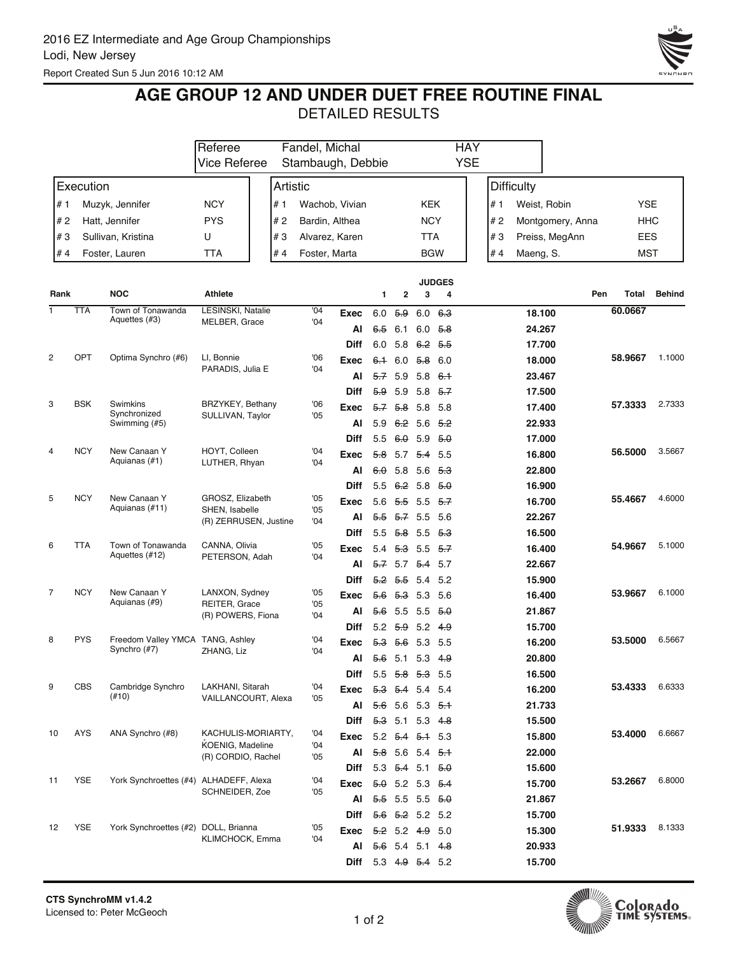

## **AGE GROUP 12 AND UNDER DUET FREE ROUTINE FINAL**

|      |            |                                        | Referee                  |          | Fandel, Michal |                   |       |                                       |                | <b>HAY</b>     |                   |                  |            |               |
|------|------------|----------------------------------------|--------------------------|----------|----------------|-------------------|-------|---------------------------------------|----------------|----------------|-------------------|------------------|------------|---------------|
|      |            |                                        | Vice Referee             |          |                | Stambaugh, Debbie |       |                                       |                | <b>YSE</b>     |                   |                  |            |               |
|      | Execution  |                                        |                          | Artistic |                |                   |       |                                       |                |                | <b>Difficulty</b> |                  |            |               |
| # 1  |            | Muzyk, Jennifer                        | <b>NCY</b>               | # 1      |                | Wachob, Vivian    |       |                                       | KEK            |                | # 1               | Weist, Robin     | <b>YSE</b> |               |
| #2   |            | Hatt, Jennifer                         | <b>PYS</b>               | #2       | Bardin, Althea |                   |       |                                       | <b>NCY</b>     |                | #2                | Montgomery, Anna | HHC        |               |
| #3   |            | Sullivan, Kristina                     | U                        | #3       | Alvarez, Karen |                   |       |                                       | <b>TTA</b>     |                | #3                | Preiss, MegAnn   | <b>EES</b> |               |
| #4   |            | Foster, Lauren                         | <b>TTA</b>               | #4       | Foster, Marta  |                   |       |                                       | <b>BGW</b>     |                | #4<br>Maeng, S.   |                  | <b>MST</b> |               |
|      |            |                                        |                          |          |                |                   |       |                                       |                |                |                   |                  |            |               |
|      |            |                                        |                          |          |                |                   |       |                                       |                | <b>JUDGES</b>  |                   |                  |            |               |
| Rank |            | <b>NOC</b>                             | <b>Athlete</b>           |          |                |                   | 1     | 2                                     | 3              | 4              |                   | Pen              | Total      | <b>Behind</b> |
| 1    | <b>TTA</b> | Town of Tonawanda                      | <b>LESINSKI, Natalie</b> |          | '04            | Exec              | 6.0   | 5.9                                   | 6.0            | 6.3            |                   | 18.100           | 60.0667    |               |
|      |            | Aquettes (#3)                          | MELBER, Grace            |          | '04            | Al                | 6.5   | 6.1                                   | 6.0            | <del>5.8</del> |                   | 24.267           |            |               |
|      |            |                                        |                          |          |                | <b>Diff</b>       | 6.0   | 5.8                                   | 6.2 5.5        |                |                   | 17.700           |            |               |
| 2    | OPT        | Optima Synchro (#6)                    | LI, Bonnie               |          | 06             | Exec              |       | 6.1 6.0                               | <del>5.8</del> | 6.0            |                   | 18.000           | 58.9667    | 1.1000        |
|      |            |                                        | PARADIS, Julia E         |          | '04            | Al                | 5.7   | 5.9                                   | 5.8            | 6.1            |                   | 23.467           |            |               |
|      |            |                                        |                          |          |                | <b>Diff</b>       | 5.9   | 5.9                                   | 5.8            | 5.7            |                   | 17.500           |            |               |
| 3    | <b>BSK</b> | Swimkins                               | BRZYKEY, Bethany         |          | '06            | Exec              | $5-7$ | <del>5.8</del>                        | 5.8            | 5.8            |                   | 17.400           | 57.3333    | 2.7333        |
|      |            | Synchronized<br>Swimming (#5)          | SULLIVAN, Taylor         |          | '05            | Al                | 5.9   | 6.2 5.6                               |                | - 5.2          |                   | 22.933           |            |               |
|      |            |                                        |                          |          |                | <b>Diff</b>       | 5.5   | 6.0                                   | 5.9            | 5.0            |                   | 17.000           |            |               |
| 4    | <b>NCY</b> | New Canaan Y                           | HOYT, Colleen            |          | '04            | Exec              |       | 5.8 5.7                               | 5.4 5.5        |                |                   | 16.800           | 56.5000    | 3.5667        |
|      |            | Aquianas (#1)                          | LUTHER, Rhyan            |          | '04            | Al                | 60    | 5.8                                   | 5.6            | <del>5.3</del> |                   | 22.800           |            |               |
|      |            |                                        |                          |          |                | <b>Diff</b>       | 5.5   | 6.2 5.8                               |                | 5.0            |                   | 16.900           |            |               |
| 5    | <b>NCY</b> | New Canaan Y                           | GROSZ, Elizabeth         |          | '05            | Exec              | 5.6   | <del>5.5</del>                        | 5.5            | - 5.7          |                   | 16.700           | 55.4667    | 4.6000        |
|      |            | Aquianas (#11)                         | SHEN, Isabelle           |          | '05<br>'04     | Al                | $5-5$ | <del>5.7</del> 5.5                    |                | 5.6            |                   | 22.267           |            |               |
|      |            |                                        | (R) ZERRUSEN, Justine    |          |                | <b>Diff</b>       | 5.5   | 5.8 5.5 5.3                           |                |                |                   | 16.500           |            |               |
| 6    | TTA        | Town of Tonawanda                      | CANNA, Olivia            |          | '05            | Exec              | 5.4   | 5.3 5.5 5.7                           |                |                |                   | 16.400           | 54.9667    | 5.1000        |
|      |            | Aquettes (#12)                         | PETERSON, Adah           |          | 04             | AI                |       | <del>5.7</del> 5.7 <del>5.4</del> 5.7 |                |                |                   | 22.667           |            |               |
|      |            |                                        |                          |          |                | <b>Diff</b>       |       | $5.2$ 5.5 5.4                         |                | 5.2            |                   | 15.900           |            |               |
| 7    | <b>NCY</b> | New Canaan Y                           | LANXON, Sydney           |          | '05            | Exec              |       | 5.6 5.3 5.3                           |                | - 5.6          |                   | 16.400           | 53.9667    | 6.1000        |
|      |            | Aquianas (#9)                          | REITER, Grace            |          | '05            | Al                | 56    | 5.5                                   | 5.5            | 5.0            |                   | 21.867           |            |               |
|      |            |                                        | (R) POWERS, Fiona        |          | '04            | <b>Diff</b>       |       | $5.2$ $5.9$ $5.2$ $4.9$               |                |                |                   | 15.700           |            |               |
| 8    | <b>PYS</b> | Freedom Valley YMCA TANG, Ashley       |                          |          | '04            | Exec              |       | 5.3 5.6                               | 5.3 5.5        |                |                   | 16.200           | 53.5000    | 6.5667        |
|      |            | Synchro (#7)                           | ZHANG, Liz               |          | '04            | Al                | 5.6   | 5.1                                   | 5.3            | 4.9            |                   | 20.800           |            |               |
|      |            |                                        |                          |          |                | <b>Diff</b>       |       | 5.5 5.8 5.3 5.5                       |                |                |                   | 16.500           |            |               |
| 9    | CBS        | Cambridge Synchro                      | LAKHANI, Sitarah         |          | 04             | Exec              |       | 5.3 5.4 5.4 5.4                       |                |                |                   | 16.200           | 53.4333    | 6.6333        |
|      |            | $(\#10)$                               | VAILLANCOURT, Alexa      |          | '05            | Al                | 5.6   | $5.6$ 5.3 <del>5.1</del>              |                |                |                   | 21.733           |            |               |
|      |            |                                        |                          |          |                | Diff              |       | $5.3$ 5.1 5.3 4.8                     |                |                |                   | 15.500           |            |               |
| 10   | AYS        | ANA Synchro (#8)                       | KACHULIS-MORIARTY,       |          | '04            | Exec              |       | $5.2$ $5.4$ $5.4$ 5.3                 |                |                |                   | 15.800           | 53.4000    | 6.6667        |
|      |            |                                        | KOENIG, Madeline         |          | '04            |                   |       | 5.8 5.6 5.4 5.1                       |                |                |                   | 22.000           |            |               |
|      |            |                                        | (R) CORDIO, Rachel       |          | '05            | Al                |       |                                       |                |                |                   |                  |            |               |
| 11   | <b>YSE</b> | York Synchroettes (#4) ALHADEFF, Alexa |                          |          | '04            | Diff              |       | 5.3 $5.4$ 5.1 $5.0$                   |                |                |                   | 15.600           | 53.2667    | 6.8000        |
|      |            |                                        | SCHNEIDER, Zoe           |          | '05            | Exec              |       | $5.0$ 5.2 5.3 $5.4$                   |                |                |                   | 15.700           |            |               |
|      |            |                                        |                          |          |                | Al                |       | $5.5$ 5.5 5.5 $5.0$                   |                |                |                   | 21.867           |            |               |
| 12   | <b>YSE</b> | York Synchroettes (#2) DOLL, Brianna   |                          |          | '05            | Diff              |       | $5.6$ $5.2$ 5.2 5.2                   |                |                |                   | 15.700           | 51.9333    | 8.1333        |
|      |            |                                        | KLIMCHOCK, Emma          |          | '04            | Exec              |       | $5.2$ 5.2 4.9 5.0                     |                |                |                   | 15.300           |            |               |
|      |            |                                        |                          |          |                | AI                |       | $5.6$ 5.4 5.1 4.8                     |                |                |                   | 20.933           |            |               |
|      |            |                                        |                          |          |                | Diff              |       | 5.3 4.9 5.4 5.2                       |                |                |                   | 15.700           |            |               |

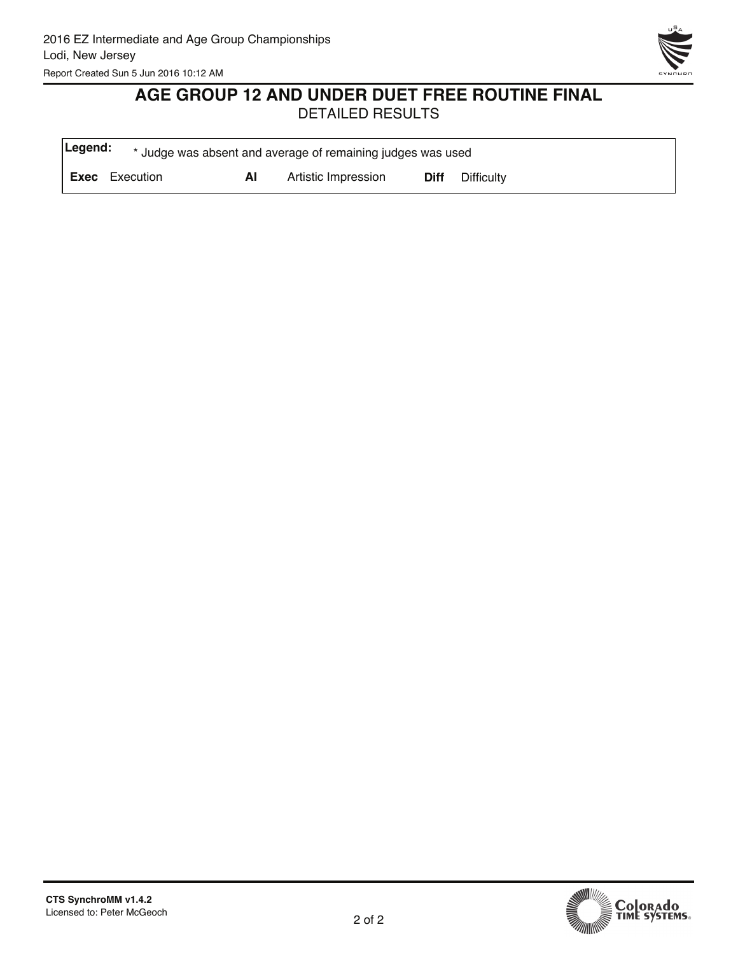

# **AGE GROUP 12 AND UNDER DUET FREE ROUTINE FINAL**

| Legend: |                       |    | * Judge was absent and average of remaining judges was used |      |            |
|---------|-----------------------|----|-------------------------------------------------------------|------|------------|
|         | <b>Exec</b> Execution | ΑI | Artistic Impression                                         | Diff | Difficulty |

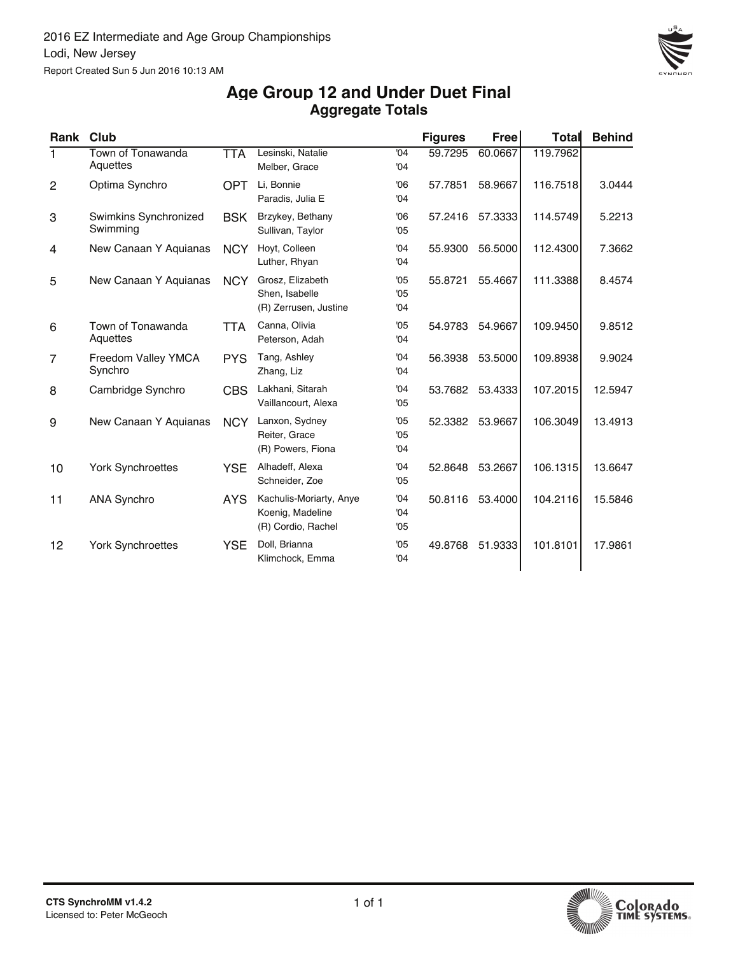

#### **Aggregate Totals Age Group 12 and Under Duet Final**

| Rank | <b>Club</b>                           |            |                                                                   |                   | <b>Figures</b> | Freel   | <b>Total</b> | <b>Behind</b> |
|------|---------------------------------------|------------|-------------------------------------------------------------------|-------------------|----------------|---------|--------------|---------------|
| 1.   | Town of Tonawanda<br>Aquettes         | <b>TTA</b> | Lesinski, Natalie<br>Melber, Grace                                | '04<br>'04        | 59.7295        | 60.0667 | 119.7962     |               |
| 2    | Optima Synchro                        | <b>OPT</b> | Li, Bonnie<br>Paradis, Julia E                                    | '06<br>'04        | 57.7851        | 58.9667 | 116.7518     | 3.0444        |
| 3    | Swimkins Synchronized<br>Swimming     | <b>BSK</b> | Brzykey, Bethany<br>Sullivan, Taylor                              | '06<br>'05        | 57.2416        | 57.3333 | 114.5749     | 5.2213        |
| 4    | New Canaan Y Aquianas                 | <b>NCY</b> | Hoyt, Colleen<br>Luther, Rhyan                                    | '04<br>'04        | 55.9300        | 56.5000 | 112.4300     | 7.3662        |
| 5    | New Canaan Y Aquianas                 | <b>NCY</b> | Grosz, Elizabeth<br>Shen, Isabelle<br>(R) Zerrusen, Justine       | '05<br>'05<br>'04 | 55.8721        | 55.4667 | 111.3388     | 8.4574        |
| 6    | Town of Tonawanda<br>Aquettes         | <b>TTA</b> | Canna, Olivia<br>Peterson, Adah                                   | '05<br>'04        | 54.9783        | 54.9667 | 109.9450     | 9.8512        |
| 7    | <b>Freedom Valley YMCA</b><br>Synchro | <b>PYS</b> | Tang, Ashley<br>Zhang, Liz                                        | '04<br>'04        | 56.3938        | 53.5000 | 109.8938     | 9.9024        |
| 8    | Cambridge Synchro                     | <b>CBS</b> | Lakhani, Sitarah<br>Vaillancourt, Alexa                           | '04<br>'05        | 53.7682        | 53.4333 | 107.2015     | 12.5947       |
| 9    | New Canaan Y Aquianas                 | <b>NCY</b> | Lanxon, Sydney<br>Reiter, Grace<br>(R) Powers, Fiona              | '05<br>'05<br>'04 | 52.3382        | 53.9667 | 106.3049     | 13.4913       |
| 10   | <b>York Synchroettes</b>              | <b>YSE</b> | Alhadeff, Alexa<br>Schneider, Zoe                                 | '04<br>'05        | 52.8648        | 53.2667 | 106.1315     | 13.6647       |
| 11   | <b>ANA Synchro</b>                    | <b>AYS</b> | Kachulis-Moriarty, Anye<br>Koenig, Madeline<br>(R) Cordio, Rachel | '04<br>'04<br>'05 | 50.8116        | 53.4000 | 104.2116     | 15.5846       |
| 12   | <b>York Synchroettes</b>              | <b>YSE</b> | Doll, Brianna<br>Klimchock, Emma                                  | '05<br>'04        | 49.8768        | 51.9333 | 101.8101     | 17.9861       |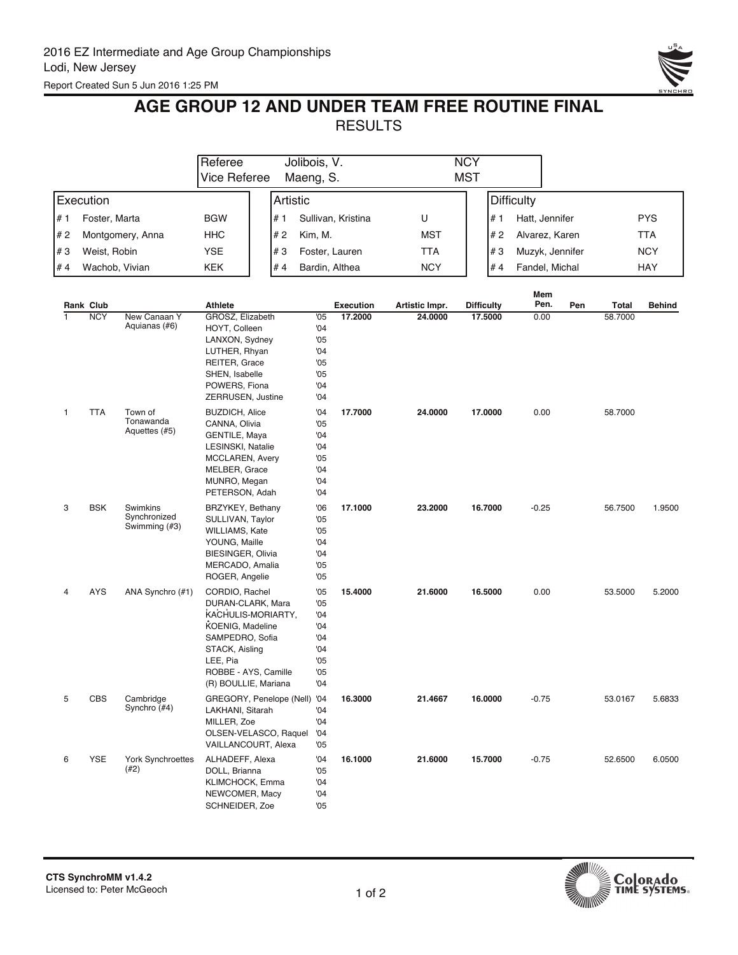

## **AGE GROUP 12 AND UNDER TEAM FREE ROUTINE FINAL RESULTS**

|                |                         |                                           | Referee<br><b>Vice Referee</b>                                                                                                                                                 | Jolibois, V.<br>Maeng, S.                             |                                                             |                             |                           | <b>NCY</b><br><b>MST</b>     |                   |              |     |                  |               |
|----------------|-------------------------|-------------------------------------------|--------------------------------------------------------------------------------------------------------------------------------------------------------------------------------|-------------------------------------------------------|-------------------------------------------------------------|-----------------------------|---------------------------|------------------------------|-------------------|--------------|-----|------------------|---------------|
|                |                         |                                           |                                                                                                                                                                                |                                                       |                                                             |                             |                           |                              |                   |              |     |                  |               |
|                | Execution               |                                           |                                                                                                                                                                                | Artistic                                              |                                                             |                             |                           |                              | <b>Difficulty</b> |              |     |                  |               |
| # 1            | Foster, Marta           |                                           | <b>BGW</b>                                                                                                                                                                     | # 1                                                   |                                                             | Sullivan, Kristina          | U                         | # 1                          | Hatt, Jennifer    |              |     |                  | <b>PYS</b>    |
| #2             |                         | Montgomery, Anna                          | <b>HHC</b>                                                                                                                                                                     | #2                                                    | Kim, M.                                                     |                             | <b>MST</b>                | #2                           | Alvarez, Karen    |              |     |                  | <b>TTA</b>    |
| #3             | Weist, Robin            |                                           | <b>YSE</b>                                                                                                                                                                     | #3                                                    |                                                             | Foster, Lauren              | <b>TTA</b>                | #3                           | Muzyk, Jennifer   |              |     |                  | <b>NCY</b>    |
| #4             | Wachob, Vivian          |                                           | KEK                                                                                                                                                                            | #4                                                    |                                                             | Bardin, Althea              | <b>NCY</b>                | #4                           | Fandel, Michal    |              |     |                  | <b>HAY</b>    |
|                |                         |                                           |                                                                                                                                                                                |                                                       |                                                             |                             |                           |                              |                   | Mem          |     |                  |               |
| $\overline{1}$ | Rank Club<br><b>NCY</b> | New Canaan Y                              | <b>Athlete</b><br>GROSZ, Elizabeth                                                                                                                                             |                                                       | '05                                                         | <b>Execution</b><br>17.2000 | Artistic Impr.<br>24.0000 | <b>Difficulty</b><br>17.5000 |                   | Pen.<br>0.00 | Pen | Total<br>58,7000 | <b>Behind</b> |
|                |                         | Aquianas (#6)                             | HOYT, Colleen<br>LANXON, Sydney<br>LUTHER, Rhyan<br>REITER, Grace<br>SHEN, Isabelle<br>POWERS, Fiona<br>ZERRUSEN, Justine                                                      |                                                       | '04<br>'05<br>'04<br>'05<br>'05<br>'04<br>'04               |                             |                           |                              |                   |              |     |                  |               |
| 1              | <b>TTA</b>              | Town of<br>Tonawanda<br>Aquettes (#5)     | <b>BUZDICH, Alice</b><br>CANNA, Olivia<br><b>GENTILE, Maya</b><br>LESINSKI, Natalie<br><b>MCCLAREN, Avery</b><br>MELBER, Grace<br>MUNRO, Megan<br>PETERSON, Adah               |                                                       | '04<br>'05<br>'04<br>'04<br>'05<br>'04<br>'04<br>'04        | 17.7000                     | 24.0000                   | 17.0000                      |                   | 0.00         |     | 58.7000          |               |
| 3              | <b>BSK</b>              | Swimkins<br>Synchronized<br>Swimming (#3) | BRZYKEY, Bethany<br>SULLIVAN, Taylor<br>WILLIAMS, Kate<br>YOUNG, Maille<br>BIESINGER, Olivia<br>MERCADO, Amalia<br>ROGER, Angelie                                              |                                                       | '06<br>'05<br>'05<br>'04<br>'04<br>'05<br>'05               | 17.1000                     | 23.2000                   | 16.7000                      |                   | $-0.25$      |     | 56.7500          | 1.9500        |
| 4              | AYS                     | ANA Synchro (#1)                          | CORDIO, Rachel<br>DURAN-CLARK, Mara<br>KACHULIS-MORIARTY,<br>KOENIG, Madeline<br>SAMPEDRO, Sofia<br>STACK, Aisling<br>LEE, Pia<br>ROBBE - AYS, Camille<br>(R) BOULLIE, Mariana |                                                       | '05<br>'05<br>'04<br>'04<br>'04<br>'04<br>'05<br>'05<br>'04 | 15.4000                     | 21.6000                   | 16.5000                      |                   | 0.00         |     | 53.5000          | 5.2000        |
| 5              | CBS                     | Cambridge<br>Synchro (#4)                 | LAKHANI, Sitarah<br>MILLER, Zoe<br>VAILLANCOURT, Alexa                                                                                                                         | GREGORY, Penelope (Nell) '04<br>OLSEN-VELASCO, Raquel | 04<br>'04<br>'04<br>'05                                     | 16.3000                     | 21.4667                   | 16.0000                      |                   | $-0.75$      |     | 53.0167          | 5.6833        |
| 6              | YSE                     | <b>York Synchroettes</b><br>(42)          | ALHADEFF, Alexa<br>DOLL, Brianna<br>KLIMCHOCK, Emma<br>NEWCOMER, Macy<br>SCHNEIDER, Zoe                                                                                        |                                                       | '04<br>'05<br>04<br>'04<br>'05                              | 16.1000                     | 21.6000                   | 15.7000                      |                   | $-0.75$      |     | 52.6500          | 6.0500        |



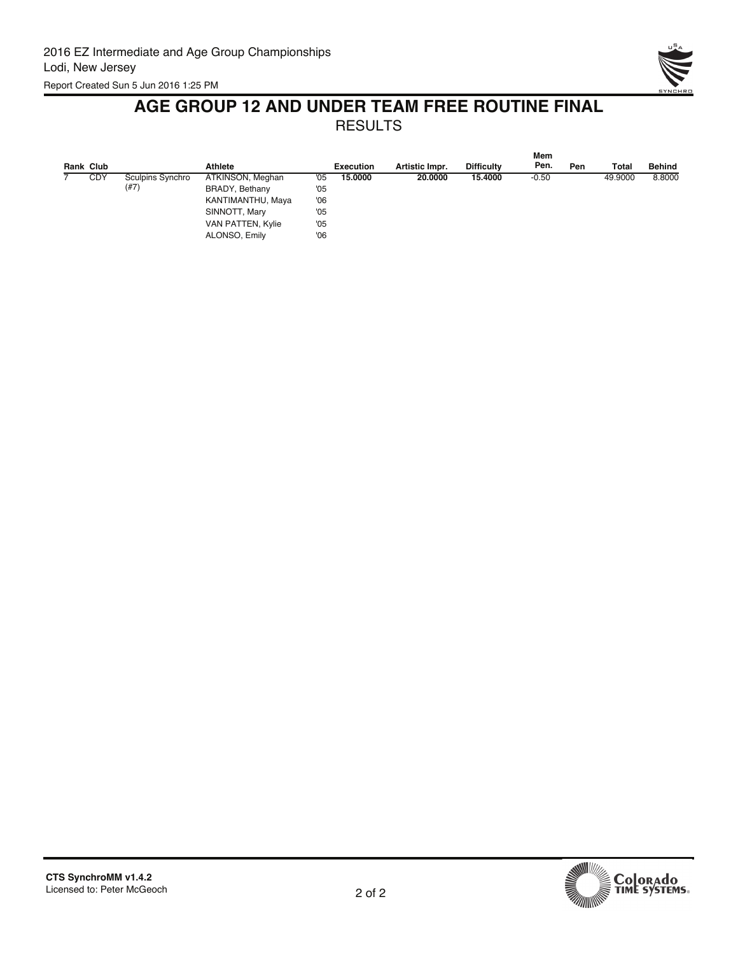

#### **AGE GROUP 12 AND UNDER TEAM FREE ROUTINE FINAL** RESULTS

| Rank Club  |                  | <b>Athlete</b>    |     | <b>Execution</b> | Artistic Impr. | <b>Difficulty</b> | Mem<br>Pen. | Pen | <b>Total</b> | <b>Behind</b> |
|------------|------------------|-------------------|-----|------------------|----------------|-------------------|-------------|-----|--------------|---------------|
|            |                  |                   |     |                  |                |                   |             |     |              |               |
| <b>CDY</b> | Sculpins Synchro | ATKINSON, Meghan  | '05 | 15.0000          | 20,0000        | 15.4000           | $-0.50$     |     | 49.9000      | 8.8000        |
|            | (#7)             | BRADY, Bethany    | '05 |                  |                |                   |             |     |              |               |
|            |                  | KANTIMANTHU, Maya | 06  |                  |                |                   |             |     |              |               |
|            |                  | SINNOTT, Mary     | '05 |                  |                |                   |             |     |              |               |
|            |                  | VAN PATTEN, Kylie | '05 |                  |                |                   |             |     |              |               |
|            |                  | ALONSO, Emily     | 06  |                  |                |                   |             |     |              |               |



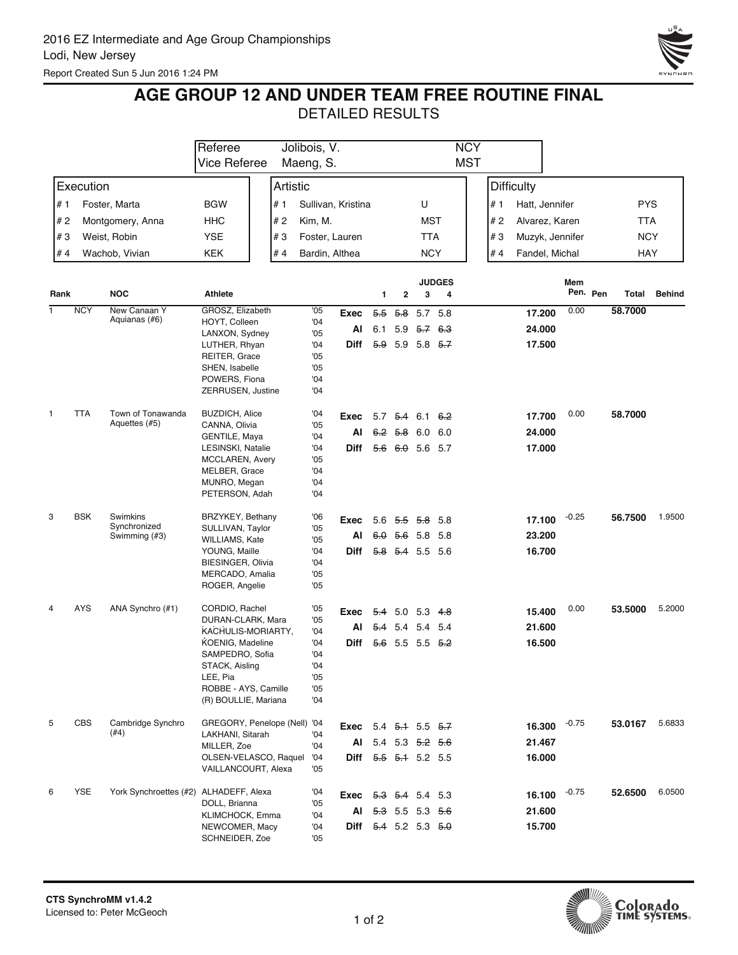

## **AGE GROUP 12 AND UNDER TEAM FREE ROUTINE FINAL**

|      |            |                                        | Referee                                     | Jolibois, V. |            |                                 |                            |                     |            | <b>NCY</b>         |     |                   |         |          |            |               |
|------|------------|----------------------------------------|---------------------------------------------|--------------|------------|---------------------------------|----------------------------|---------------------|------------|--------------------|-----|-------------------|---------|----------|------------|---------------|
|      |            |                                        | Vice Referee                                | Maeng, S.    |            |                                 |                            |                     |            | <b>MST</b>         |     |                   |         |          |            |               |
|      | Execution  |                                        |                                             | Artistic     |            |                                 |                            |                     |            |                    |     | <b>Difficulty</b> |         |          |            |               |
| # 1  |            | Foster, Marta                          | BGW                                         | # 1          |            | Sullivan, Kristina              |                            |                     | U          |                    | # 1 | Hatt, Jennifer    |         |          | <b>PYS</b> |               |
| #2   |            | Montgomery, Anna                       | <b>HHC</b>                                  | # 2          | Kim, M.    |                                 |                            |                     | <b>MST</b> |                    | #2  | Alvarez, Karen    |         |          | <b>TTA</b> |               |
| #3   |            | Weist, Robin                           | <b>YSE</b>                                  | #3           |            | Foster, Lauren                  |                            |                     | TTA        |                    | #3  | Muzyk, Jennifer   |         |          | <b>NCY</b> |               |
| # 4  |            | Wachob, Vivian                         | <b>KEK</b>                                  | #4           |            | Bardin, Althea                  |                            |                     | <b>NCY</b> |                    | #4  | Fandel, Michal    |         |          | <b>HAY</b> |               |
|      |            |                                        |                                             |              |            |                                 |                            |                     |            |                    |     |                   |         |          |            |               |
| Rank |            | <b>NOC</b>                             | Athlete                                     |              |            |                                 | 1                          | $\mathbf{2}$        | 3          | <b>JUDGES</b><br>4 |     |                   | Mem     | Pen. Pen | Total      | <b>Behind</b> |
| 1    | <b>NCY</b> | New Canaan Y                           | GROSZ, Elizabeth                            |              | '05        | Exec                            | $5-5$                      | <del>5.8</del>      | 5.7 5.8    |                    |     | 17.200            | 0.00    |          | 58.7000    |               |
|      |            | Aquianas (#6)                          | HOYT, Colleen<br>LANXON, Sydney             |              | '04<br>'05 | Al                              |                            | 6.1 5.9 $5.7$ 6.3   |            |                    |     | 24.000            |         |          |            |               |
|      |            |                                        | LUTHER, Rhyan                               |              | '04        | Diff                            |                            | $5.9$ 5.9 5.8 $5.7$ |            |                    |     | 17.500            |         |          |            |               |
|      |            |                                        | REITER, Grace                               |              | '05        |                                 |                            |                     |            |                    |     |                   |         |          |            |               |
|      |            |                                        | SHEN, Isabelle<br>POWERS, Fiona             |              | '05<br>'04 |                                 |                            |                     |            |                    |     |                   |         |          |            |               |
|      |            |                                        | ZERRUSEN, Justine                           |              | '04        |                                 |                            |                     |            |                    |     |                   |         |          |            |               |
| 1    | <b>TTA</b> | Town of Tonawanda                      | <b>BUZDICH, Alice</b>                       |              | '04        |                                 |                            |                     |            |                    |     |                   | 0.00    |          | 58.7000    |               |
|      |            | Aquettes (#5)                          | CANNA, Olivia                               |              | '05        | Exec                            |                            | $5.7$ $5.4$ 6.1 6.2 |            |                    |     | 17.700            |         |          |            |               |
|      |            |                                        | GENTILE, Maya                               |              | 04         | AI                              |                            | 6.2 5.8 6.0         |            | 6.0                |     | 24.000            |         |          |            |               |
|      |            |                                        | LESINSKI, Natalie<br><b>MCCLAREN, Avery</b> |              | '04<br>'05 | Diff                            |                            | $5.6$ 6.0 5.6 5.7   |            |                    |     | 17.000            |         |          |            |               |
|      |            |                                        | MELBER, Grace                               |              | '04        |                                 |                            |                     |            |                    |     |                   |         |          |            |               |
|      |            |                                        | MUNRO, Megan                                |              | '04        |                                 |                            |                     |            |                    |     |                   |         |          |            |               |
|      |            |                                        | PETERSON, Adah                              |              | '04        |                                 |                            |                     |            |                    |     |                   |         |          |            |               |
| 3    | <b>BSK</b> | Swimkins                               | BRZYKEY, Bethany                            |              | '06        | Exec                            |                            | 5.6 $5.5$ 5.8 5.8   |            |                    |     | 17.100            | $-0.25$ |          | 56.7500    | 1.9500        |
|      |            | Synchronized<br>Swimming (#3)          | SULLIVAN, Taylor                            |              | '05        | Al                              |                            | $6.0$ 5.6 5.8 5.8   |            |                    |     | 23.200            |         |          |            |               |
|      |            |                                        | WILLIAMS, Kate<br>YOUNG, Maille             |              | '05<br>04  | Diff                            |                            | 5.8 5.4 5.5 5.6     |            |                    |     | 16.700            |         |          |            |               |
|      |            |                                        | <b>BIESINGER, Olivia</b>                    |              | '04        |                                 |                            |                     |            |                    |     |                   |         |          |            |               |
|      |            |                                        | MERCADO, Amalia<br>ROGER, Angelie           |              | '05<br>'05 |                                 |                            |                     |            |                    |     |                   |         |          |            |               |
|      |            |                                        |                                             |              |            |                                 |                            |                     |            |                    |     |                   |         |          |            |               |
| 4    | <b>AYS</b> | ANA Synchro (#1)                       | CORDIO, Rachel                              |              | '05        | Exec                            |                            | $5.4$ 5.0 5.3 4.8   |            |                    |     | 15.400            | 0.00    |          | 53.5000    | 5.2000        |
|      |            |                                        | DURAN-CLARK, Mara<br>KACHULIS-MORIARTY,     |              | '05<br>'04 | Al                              |                            | 5.4 5.4 5.4 5.4     |            |                    |     | 21.600            |         |          |            |               |
|      |            |                                        | KOENIG, Madeline                            |              | 04         | Diff                            |                            | $5.6$ 5.5 5.5 $5.2$ |            |                    |     | 16.500            |         |          |            |               |
|      |            |                                        | SAMPEDRO, Sofia<br>STACK, Aisling           |              | '04<br>'04 |                                 |                            |                     |            |                    |     |                   |         |          |            |               |
|      |            |                                        | LEE, Pia                                    |              | '05        |                                 |                            |                     |            |                    |     |                   |         |          |            |               |
|      |            |                                        | ROBBE - AYS, Camille                        |              | '05        |                                 |                            |                     |            |                    |     |                   |         |          |            |               |
|      |            |                                        | (R) BOULLIE, Mariana                        |              | '04        |                                 |                            |                     |            |                    |     |                   |         |          |            |               |
| 5    | <b>CBS</b> | Cambridge Synchro                      | GREGORY, Penelope (Nell) '04                |              |            | <b>Exec</b> 5.4 $5\div 5.5$ 5.7 |                            |                     |            |                    |     | 16.300            | $-0.75$ |          | 53.0167    | 5.6833        |
|      |            | $(\#4)$                                | LAKHANI, Sitarah                            |              | '04        | AI                              | 5.4 5.3 <del>5.2 5.6</del> |                     |            |                    |     | 21.467            |         |          |            |               |
|      |            |                                        | MILLER, Zoe<br>OLSEN-VELASCO, Raquel        |              | 04<br>'04  | Diff 5.5 5.1 5.2 5.5            |                            |                     |            |                    |     | 16.000            |         |          |            |               |
|      |            |                                        | VAILLANCOURT, Alexa                         |              | '05        |                                 |                            |                     |            |                    |     |                   |         |          |            |               |
| 6    | <b>YSE</b> | York Synchroettes (#2) ALHADEFF, Alexa |                                             |              | '04        |                                 |                            |                     |            |                    |     | 16.100            | $-0.75$ |          | 52.6500    | 6.0500        |
|      |            |                                        | DOLL, Brianna                               |              | '05        | Exec $5.3$ $5.4$ 5.4 5.3        |                            |                     |            |                    |     |                   |         |          |            |               |
|      |            |                                        | KLIMCHOCK, Emma                             |              | '04        |                                 | AI 5.3 5.5 5.3 5.6         |                     |            |                    |     | 21.600            |         |          |            |               |
|      |            |                                        | NEWCOMER, Macy<br>SCHNEIDER, Zoe            |              | '04<br>'05 | Diff 5.4 5.2 5.3 5.0            |                            |                     |            |                    |     | 15.700            |         |          |            |               |

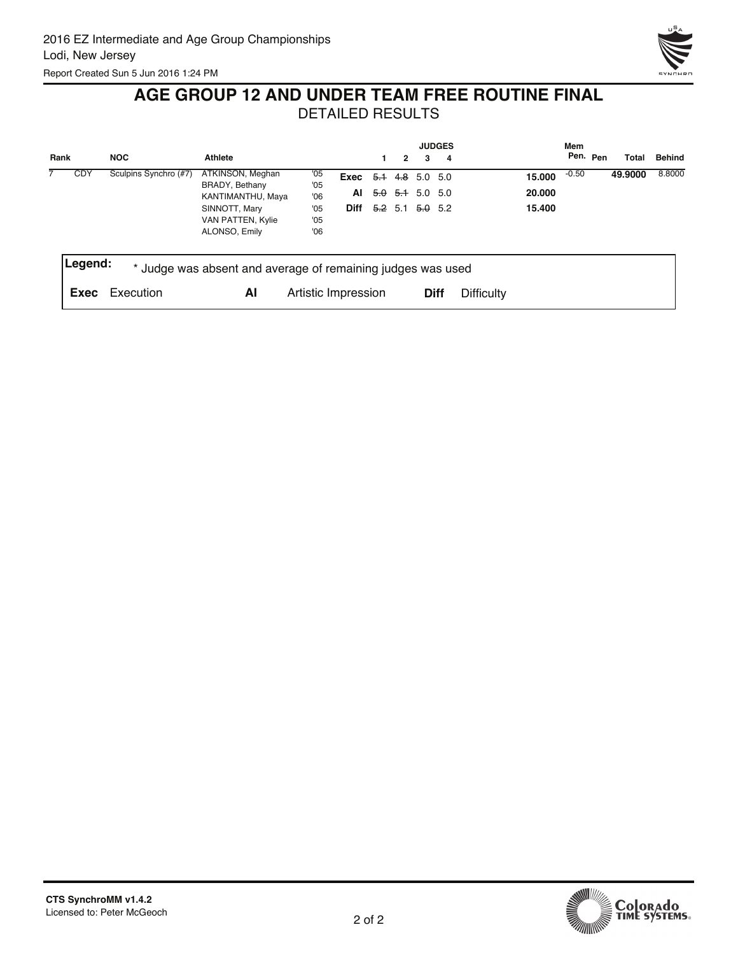

# **AGE GROUP 12 AND UNDER TEAM FREE ROUTINE FINAL**

|      |            |                       |                                                             |                     |                        |                                 |   |                            | <b>JUDGES</b> |                   | Mem     |          |         |               |
|------|------------|-----------------------|-------------------------------------------------------------|---------------------|------------------------|---------------------------------|---|----------------------------|---------------|-------------------|---------|----------|---------|---------------|
| Rank |            | <b>NOC</b>            | <b>Athlete</b>                                              |                     |                        |                                 | 2 | 3                          | - 4           |                   |         | Pen. Pen | Total   | <b>Behind</b> |
|      | <b>CDY</b> | Sculpins Synchro (#7) | ATKINSON, Meghan<br>BRADY, Bethany                          | '05<br>'05          | Exec $5.1$ 4.8 5.0 5.0 |                                 |   |                            |               | 15.000            | $-0.50$ |          | 49.9000 | 8.8000        |
|      |            |                       | KANTIMANTHU, Maya                                           | '06                 | AI                     |                                 |   | <del>5.0 5.1</del> 5.0 5.0 |               | 20,000            |         |          |         |               |
|      |            |                       | SINNOTT, Mary<br>VAN PATTEN, Kylie<br>ALONSO, Emily         | '05<br>'05<br>'06   |                        | <b>Diff</b> $5.2$ 5.1 $5.0$ 5.2 |   |                            |               | 15.400            |         |          |         |               |
|      | Legend:    |                       | * Judge was absent and average of remaining judges was used |                     |                        |                                 |   |                            |               |                   |         |          |         |               |
|      | Exec       | Execution             | ΑI                                                          | Artistic Impression |                        |                                 |   |                            | <b>Diff</b>   | <b>Difficulty</b> |         |          |         |               |

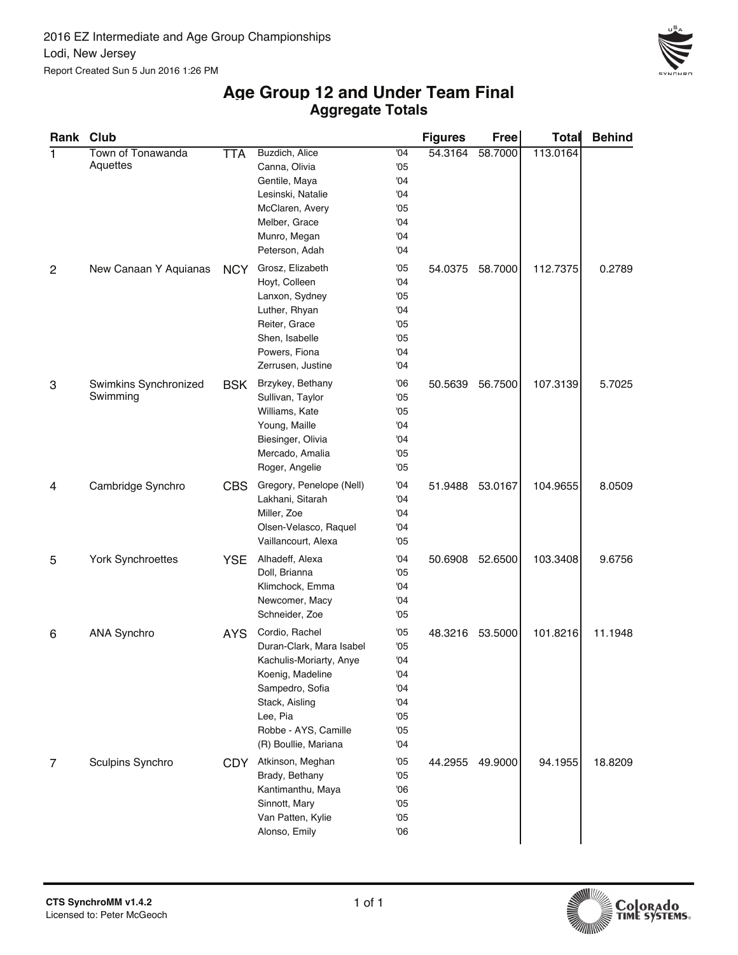

#### **Aggregate Totals Age Group 12 and Under Team Final**

| Rank Club      |                          |            |                          |     | <b>Figures</b> | Free    | <b>Total</b> | <b>Behind</b> |
|----------------|--------------------------|------------|--------------------------|-----|----------------|---------|--------------|---------------|
| 1              | Town of Tonawanda        | <b>TTA</b> | Buzdich, Alice           | '04 | 54.3164        | 58.7000 | 113.0164     |               |
|                | Aquettes                 |            | Canna, Olivia            | '05 |                |         |              |               |
|                |                          |            | Gentile, Maya            | '04 |                |         |              |               |
|                |                          |            | Lesinski, Natalie        | '04 |                |         |              |               |
|                |                          |            | McClaren, Avery          | '05 |                |         |              |               |
|                |                          |            | Melber, Grace            | '04 |                |         |              |               |
|                |                          |            | Munro, Megan             | '04 |                |         |              |               |
|                |                          |            | Peterson, Adah           | '04 |                |         |              |               |
| $\overline{2}$ | New Canaan Y Aquianas    | <b>NCY</b> | Grosz, Elizabeth         | '05 | 54.0375        | 58.7000 | 112.7375     | 0.2789        |
|                |                          |            | Hoyt, Colleen            | '04 |                |         |              |               |
|                |                          |            | Lanxon, Sydney           | '05 |                |         |              |               |
|                |                          |            | Luther, Rhyan            | '04 |                |         |              |               |
|                |                          |            | Reiter, Grace            | '05 |                |         |              |               |
|                |                          |            | Shen, Isabelle           | '05 |                |         |              |               |
|                |                          |            | Powers, Fiona            | '04 |                |         |              |               |
|                |                          |            | Zerrusen, Justine        | '04 |                |         |              |               |
| 3              | Swimkins Synchronized    | <b>BSK</b> | Brzykey, Bethany         | '06 | 50.5639        | 56.7500 | 107.3139     | 5.7025        |
|                | Swimming                 |            | Sullivan, Taylor         | '05 |                |         |              |               |
|                |                          |            | Williams, Kate           | '05 |                |         |              |               |
|                |                          |            | Young, Maille            | '04 |                |         |              |               |
|                |                          |            | Biesinger, Olivia        | '04 |                |         |              |               |
|                |                          |            | Mercado, Amalia          | '05 |                |         |              |               |
|                |                          |            | Roger, Angelie           | '05 |                |         |              |               |
| 4              | Cambridge Synchro        | <b>CBS</b> | Gregory, Penelope (Nell) | '04 | 51.9488        | 53.0167 | 104.9655     | 8.0509        |
|                |                          |            | Lakhani, Sitarah         | '04 |                |         |              |               |
|                |                          |            | Miller, Zoe              | '04 |                |         |              |               |
|                |                          |            | Olsen-Velasco, Raquel    | '04 |                |         |              |               |
|                |                          |            | Vaillancourt, Alexa      | '05 |                |         |              |               |
| 5              | <b>York Synchroettes</b> | <b>YSE</b> | Alhadeff, Alexa          | '04 | 50.6908        | 52.6500 | 103.3408     | 9.6756        |
|                |                          |            | Doll, Brianna            | '05 |                |         |              |               |
|                |                          |            | Klimchock, Emma          | '04 |                |         |              |               |
|                |                          |            | Newcomer, Macy           | '04 |                |         |              |               |
|                |                          |            | Schneider, Zoe           | '05 |                |         |              |               |
| 6              | <b>ANA Synchro</b>       | <b>AYS</b> | Cordio, Rachel           | '05 | 48.3216        | 53.5000 | 101.8216     | 11.1948       |
|                |                          |            | Duran-Clark, Mara Isabel | '05 |                |         |              |               |
|                |                          |            | Kachulis-Moriarty, Anye  | '04 |                |         |              |               |
|                |                          |            | Koenig, Madeline         | '04 |                |         |              |               |
|                |                          |            | Sampedro, Sofia          | '04 |                |         |              |               |
|                |                          |            | Stack, Aisling           | '04 |                |         |              |               |
|                |                          |            | Lee, Pia                 | '05 |                |         |              |               |
|                |                          |            | Robbe - AYS, Camille     | '05 |                |         |              |               |
|                |                          |            | (R) Boullie, Mariana     | '04 |                |         |              |               |
| 7              | Sculpins Synchro         | CDY.       | Atkinson, Meghan         | '05 | 44.2955        | 49.9000 | 94.1955      | 18.8209       |
|                |                          |            | Brady, Bethany           | '05 |                |         |              |               |
|                |                          |            | Kantimanthu, Maya        | '06 |                |         |              |               |
|                |                          |            | Sinnott, Mary            | '05 |                |         |              |               |
|                |                          |            | Van Patten, Kylie        | '05 |                |         |              |               |
|                |                          |            | Alonso, Emily            | 06  |                |         |              |               |

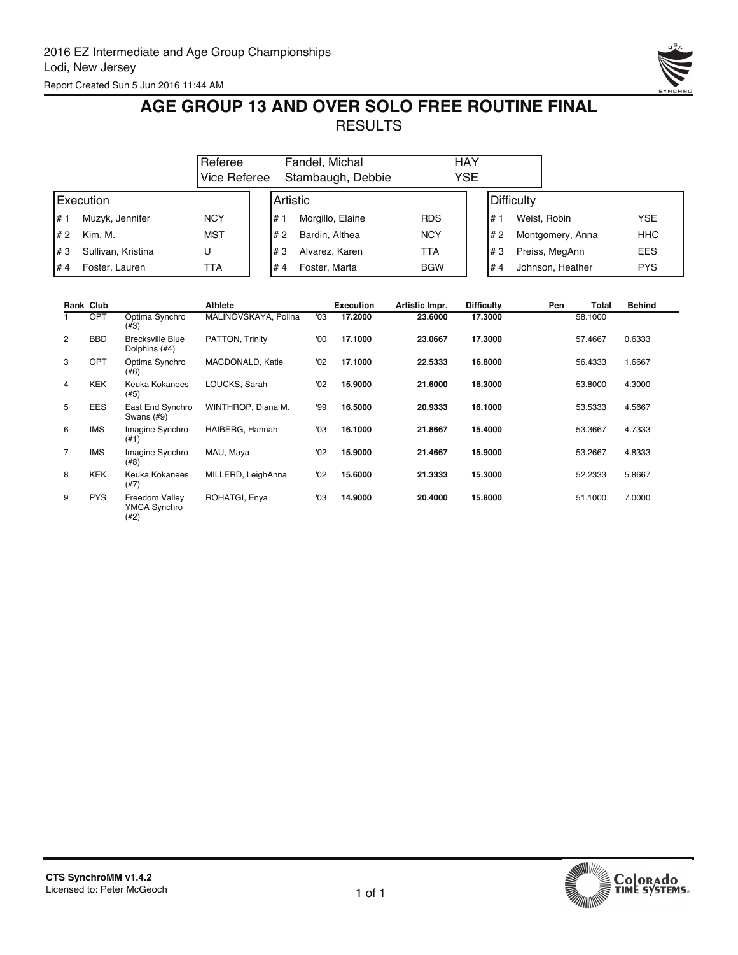

## **AGE GROUP 13 AND OVER SOLO FREE ROUTINE FINAL RESULTS**

|       | Referee<br>lVice Referee |            |            | Fandel, Michal<br>Stambaugh, Debbie | HAY<br>YSE |            |                  |            |
|-------|--------------------------|------------|------------|-------------------------------------|------------|------------|------------------|------------|
|       | Execution                |            | l Artistic |                                     |            | Difficulty |                  |            |
| $H$ 1 | Muzyk, Jennifer          | <b>NCY</b> | #          | Morgillo, Elaine                    | <b>RDS</b> | #1         | Weist, Robin     | <b>YSE</b> |
| #2    | Kim. M.                  | <b>MST</b> | 1# 2       | Bardin, Althea                      | <b>NCY</b> | #2         | Montgomery, Anna | <b>HHC</b> |
| #3    | Sullivan, Kristina       | U          | l#3        | Alvarez, Karen                      | TTA        | #3         | Preiss, MegAnn   | <b>EES</b> |
| #4    | Foster, Lauren           | TTA        | #4         | Foster, Marta                       | <b>BGW</b> | #4         | Johnson, Heather | <b>PYS</b> |

|                | Rank Club  |                                               | <b>Athlete</b>       |     | <b>Execution</b> | Artistic Impr. | <b>Difficulty</b> | Pen | Total   | <b>Behind</b> |
|----------------|------------|-----------------------------------------------|----------------------|-----|------------------|----------------|-------------------|-----|---------|---------------|
|                | <b>OPT</b> | Optima Synchro<br>(#3)                        | MALINOVSKAYA, Polina | '03 | 17.2000          | 23,6000        | 17.3000           |     | 58.1000 |               |
| $\overline{2}$ | <b>BBD</b> | <b>Brecksville Blue</b><br>Dolphins (#4)      | PATTON, Trinity      | '00 | 17.1000          | 23.0667        | 17.3000           |     | 57.4667 | 0.6333        |
| 3              | <b>OPT</b> | Optima Synchro<br>(#6)                        | MACDONALD, Katie     | '02 | 17.1000          | 22.5333        | 16,8000           |     | 56.4333 | 1.6667        |
| 4              | <b>KEK</b> | Keuka Kokanees<br>(#5)                        | LOUCKS, Sarah        | '02 | 15,9000          | 21.6000        | 16.3000           |     | 53,8000 | 4.3000        |
| 5              | <b>EES</b> | East End Synchro<br>Swans $(H9)$              | WINTHROP, Diana M.   | '99 | 16.5000          | 20.9333        | 16.1000           |     | 53.5333 | 4.5667        |
| 6              | <b>IMS</b> | Imagine Synchro<br>(#1)                       | HAIBERG, Hannah      | '03 | 16.1000          | 21.8667        | 15.4000           |     | 53.3667 | 4.7333        |
| 7              | <b>IMS</b> | Imagine Synchro<br>(#8)                       | MAU, Maya            | '02 | 15.9000          | 21.4667        | 15.9000           |     | 53.2667 | 4.8333        |
| 8              | <b>KEK</b> | Keuka Kokanees<br>(#7)                        | MILLERD, LeighAnna   | '02 | 15,6000          | 21.3333        | 15.3000           |     | 52.2333 | 5.8667        |
| 9              | <b>PYS</b> | Freedom Valley<br><b>YMCA Synchro</b><br>(42) | ROHATGI, Enya        | '03 | 14.9000          | 20,4000        | 15,8000           |     | 51.1000 | 7.0000        |



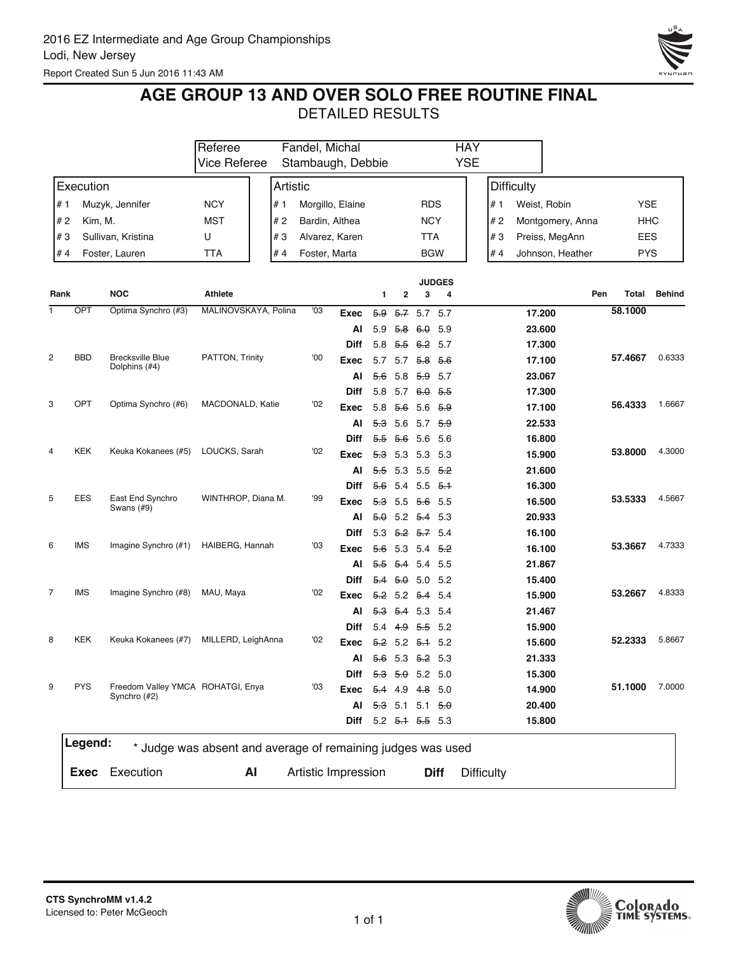

## **AGE GROUP 13 AND OVER SOLO FREE ROUTINE FINAL**

|                |            |                                                             | Referee              |     | Fandel, Michal      |                  |     |                      |                           |               | <b>HAY</b> |                   |                   |                  |     |            |               |
|----------------|------------|-------------------------------------------------------------|----------------------|-----|---------------------|------------------|-----|----------------------|---------------------------|---------------|------------|-------------------|-------------------|------------------|-----|------------|---------------|
|                |            |                                                             | <b>Vice Referee</b>  |     | Stambaugh, Debbie   |                  |     |                      |                           |               | <b>YSE</b> |                   |                   |                  |     |            |               |
|                | Execution  |                                                             |                      |     | Artistic            |                  |     |                      |                           |               |            |                   | <b>Difficulty</b> |                  |     |            |               |
|                |            |                                                             |                      |     |                     |                  |     |                      |                           |               |            |                   |                   |                  |     |            |               |
| # 1            |            | Muzyk, Jennifer                                             | <b>NCY</b>           | # 1 |                     | Morgillo, Elaine |     |                      | <b>RDS</b>                |               |            | # 1               |                   | Weist, Robin     |     | <b>YSE</b> |               |
| # 2            | Kim, M.    |                                                             | <b>MST</b>           | #2  | Bardin, Althea      |                  |     |                      | <b>NCY</b>                |               |            | # 2               |                   | Montgomery, Anna |     | HHC        |               |
| #3             |            | Sullivan, Kristina                                          | U                    | #3  |                     | Alvarez, Karen   |     |                      | TTA                       |               |            | #3                |                   | Preiss, MegAnn   |     | EES        |               |
| # 4            |            | Foster, Lauren                                              | <b>TTA</b>           | #4  | Foster, Marta       |                  |     |                      | <b>BGW</b>                |               |            | #4                |                   | Johnson, Heather |     | <b>PYS</b> |               |
| Rank           |            | <b>NOC</b>                                                  | Athlete              |     |                     |                  |     |                      |                           | <b>JUDGES</b> |            |                   |                   |                  | Pen | Total      | <b>Behind</b> |
| 1              | OPT        | Optima Synchro (#3)                                         | MALINOVSKAYA, Polina |     | '03                 |                  | 1   | $\mathbf{2}$         | 3                         | 4             |            |                   |                   |                  |     | 58.1000    |               |
|                |            |                                                             |                      |     |                     | Exec             | 5.9 |                      | $5.7$ 5.7 5.7             |               |            |                   | 17.200            |                  |     |            |               |
|                |            |                                                             |                      |     |                     | Al               | 5.9 | <del>5.8</del>       | 6.0                       | 5.9           |            |                   | 23.600            |                  |     |            |               |
| $\overline{c}$ | <b>BBD</b> | <b>Brecksville Blue</b>                                     | PATTON, Trinity      |     | '00                 | Diff             | 5.8 | 5.5                  | <del>6.2</del>            | 5.7           |            |                   | 17.300            |                  |     |            | 0.6333        |
|                |            | Dolphins (#4)                                               |                      |     |                     | Exec             | 5.7 | 5.7                  | 5.8                       | 5.6           |            |                   | 17.100            |                  |     | 57.4667    |               |
|                |            |                                                             |                      |     |                     | Al               | 5.6 | 5.8                  | 5.9                       | 5.7           |            |                   | 23.067            |                  |     |            |               |
|                |            |                                                             |                      |     |                     | Diff             | 5.8 | 5.7                  | $6\theta$                 | - 5.5         |            |                   | 17.300            |                  |     |            |               |
| 3              | <b>OPT</b> | Optima Synchro (#6)                                         | MACDONALD, Katie     |     | '02                 | Exec             | 5.8 | 5.6                  |                           | $5.6$ $5.9$   |            |                   | 17.100            |                  |     | 56.4333    | 1.6667        |
|                |            |                                                             |                      |     |                     | Al               | 5.3 |                      | 5.6 5.7 $\frac{6.9}{6.9}$ |               |            |                   | 22.533            |                  |     |            |               |
|                |            |                                                             |                      |     |                     | Diff             | 55  | 5.6                  | 5.6                       | 5.6           |            |                   | 16.800            |                  |     |            |               |
| 4              | <b>KEK</b> | Keuka Kokanees (#5)                                         | LOUCKS, Sarah        |     | '02                 | Exec             | 5.3 | 5.3                  | 5.3                       | - 5.3         |            |                   | 15.900            |                  |     | 53.8000    | 4.3000        |
|                |            |                                                             |                      |     |                     | Al               | 5.5 | 5.3                  | 5.5                       | - 5.2         |            |                   | 21.600            |                  |     |            |               |
|                |            |                                                             |                      |     |                     | Diff             | 56  | 5.4                  |                           | $5.5$ $5.4$   |            |                   | 16.300            |                  |     |            |               |
| 5              | <b>EES</b> | East End Synchro<br>Swans (#9)                              | WINTHROP, Diana M.   |     | '99                 | Exec             |     | 5.3 5.5 5.6 5.5      |                           |               |            |                   | 16.500            |                  |     | 53.5333    | 4.5667        |
|                |            |                                                             |                      |     |                     | Al               |     | 5.0 5.2 5.4 5.3      |                           |               |            |                   | 20.933            |                  |     |            |               |
|                |            |                                                             |                      |     |                     | Diff             | 5.3 | <del>5.2</del>       | 5.7                       | -5.4          |            |                   | 16.100            |                  |     |            |               |
| 6              | <b>IMS</b> | Imagine Synchro (#1)                                        | HAIBERG, Hannah      |     | '03                 | Exec             | 56  | 5.3                  | 5.4                       | - 5.2         |            |                   | 16.100            |                  |     | 53.3667    | 4.7333        |
|                |            |                                                             |                      |     |                     | Al               | 5.5 | 5.4                  | 5.4 5.5                   |               |            |                   | 21.867            |                  |     |            |               |
|                |            |                                                             |                      |     |                     | Diff             | 5.4 | 5.0                  | 5.0                       | 5.2           |            |                   | 15.400            |                  |     |            |               |
| $\overline{7}$ | <b>IMS</b> | Imagine Synchro (#8)                                        | MAU, Maya            |     | '02                 | Exec             |     | $5.2$ 5.2 $5.4$      |                           | -5.4          |            |                   | 15.900            |                  |     | 53.2667    | 4.8333        |
|                |            |                                                             |                      |     |                     | Al               | 53  | <del>5.4</del>       |                           | 53 54         |            |                   | 21.467            |                  |     |            |               |
|                |            |                                                             |                      |     |                     | Diff             | 5.4 | 4.9                  | 5.5 5.2                   |               |            |                   | 15.900            |                  |     |            |               |
| 8              | <b>KEK</b> | Keuka Kokanees (#7)                                         | MILLERD, LeighAnna   |     | '02                 | Exec             |     | $5.2$ 5.2 $5.1$ 5.2  |                           |               |            |                   | 15.600            |                  |     | 52.2333    | 5.8667        |
|                |            |                                                             |                      |     |                     | Al               |     | 5.6 5.3 5.2 5.3      |                           |               |            |                   | 21.333            |                  |     |            |               |
|                |            |                                                             |                      |     |                     | <b>Diff</b>      |     | 5.3 5.0 5.2 5.0      |                           |               |            |                   | 15.300            |                  |     |            |               |
| 9              | <b>PYS</b> | Freedom Valley YMCA ROHATGI, Enya                           |                      |     | '03                 | Exec             |     | 5.4 4.9 4.8 5.0      |                           |               |            |                   | 14.900            |                  |     | 51.1000    | 7.0000        |
|                |            | Synchro (#2)                                                |                      |     |                     | AI               |     | $5.3$ 5.1 5.1 $5.0$  |                           |               |            |                   | 20.400            |                  |     |            |               |
|                |            |                                                             |                      |     |                     |                  |     | Diff 5.2 5.1 5.5 5.3 |                           |               |            |                   | 15.800            |                  |     |            |               |
|                | Legend:    | * Judge was absent and average of remaining judges was used |                      |     |                     |                  |     |                      |                           |               |            |                   |                   |                  |     |            |               |
|                |            |                                                             |                      |     |                     |                  |     |                      |                           |               |            |                   |                   |                  |     |            |               |
|                | Exec       | Execution                                                   |                      | Al  | Artistic Impression |                  |     |                      |                           | <b>Diff</b>   |            | <b>Difficulty</b> |                   |                  |     |            |               |

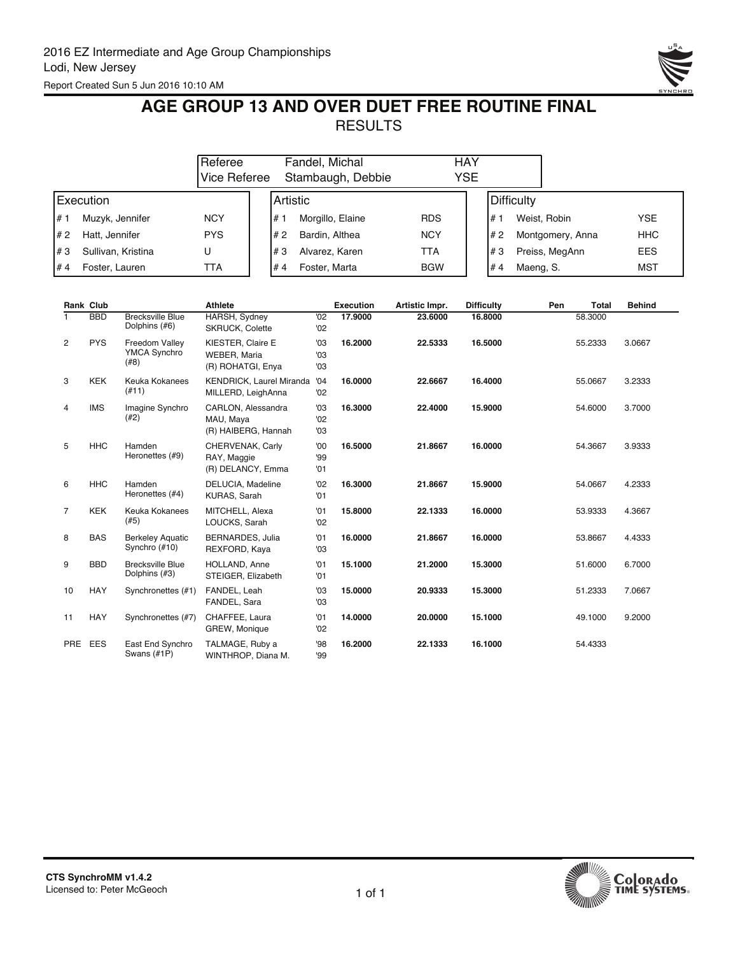

## **AGE GROUP 13 AND OVER DUET FREE ROUTINE FINAL** RESULTS

|           |                    | Referee<br>Vice Referee |            | Fandel, Michal<br>Stambaugh, Debbie | HAY<br>YSE |                  |                  |            |  |  |  |
|-----------|--------------------|-------------------------|------------|-------------------------------------|------------|------------------|------------------|------------|--|--|--|
| Execution |                    |                         | l Artistic |                                     |            | Difficulty       |                  |            |  |  |  |
| l# 1      | Muzyk, Jennifer    | <b>NCY</b>              | l# 1       | Morgillo, Elaine                    | <b>RDS</b> | 1# ۱             | Weist, Robin     | <b>YSE</b> |  |  |  |
| I# 2      | Hatt, Jennifer     | <b>PYS</b>              | l#2        | Bardin, Althea                      | <b>NCY</b> | #2               | Montgomery, Anna | <b>HHC</b> |  |  |  |
| l#3       | Sullivan, Kristina | U                       | l#3        | Alvarez, Karen                      | TTA        | l#3              | Preiss, MegAnn   | <b>EES</b> |  |  |  |
| l# 4      | Foster, Lauren     | TTA                     | #4         | Foster, Marta                       | <b>BGW</b> | l#4<br>Maeng, S. |                  | MST        |  |  |  |

|                | <b>Rank Club</b> |                                               | <b>Athlete</b>                                         |                   | <b>Execution</b> | Artistic Impr. | <b>Difficulty</b> | Pen | <b>Total</b> | <b>Behind</b> |
|----------------|------------------|-----------------------------------------------|--------------------------------------------------------|-------------------|------------------|----------------|-------------------|-----|--------------|---------------|
|                | <b>BBD</b>       | <b>Brecksville Blue</b><br>Dolphins (#6)      | <b>HARSH, Sydney</b><br><b>SKRUCK, Colette</b>         | '02<br>'02        | 17,9000          | 23,6000        | 16,8000           |     | 58.3000      |               |
| 2              | <b>PYS</b>       | Freedom Valley<br><b>YMCA Synchro</b><br>(#8) | KIESTER, Claire E<br>WEBER, Maria<br>(R) ROHATGI, Enya | '03<br>'03<br>'03 | 16.2000          | 22.5333        | 16.5000           |     | 55.2333      | 3.0667        |
| 3              | <b>KEK</b>       | Keuka Kokanees<br>(#11)                       | <b>KENDRICK, Laurel Miranda</b><br>MILLERD, LeighAnna  | '04<br>'02        | 16.0000          | 22.6667        | 16.4000           |     | 55.0667      | 3.2333        |
| 4              | <b>IMS</b>       | Imagine Synchro<br>(#2)                       | CARLON, Alessandra<br>MAU, Maya<br>(R) HAIBERG, Hannah | '03<br>'02<br>'03 | 16.3000          | 22,4000        | 15.9000           |     | 54.6000      | 3.7000        |
| 5              | <b>HHC</b>       | Hamden<br>Heronettes (#9)                     | CHERVENAK, Carly<br>RAY, Maggie<br>(R) DELANCY, Emma   | '00<br>99<br>'01  | 16.5000          | 21.8667        | 16.0000           |     | 54.3667      | 3.9333        |
| 6              | <b>HHC</b>       | Hamden<br>Heronettes (#4)                     | DELUCIA, Madeline<br>KURAS, Sarah                      | '02<br>'01        | 16.3000          | 21.8667        | 15.9000           |     | 54.0667      | 4.2333        |
| $\overline{7}$ | <b>KEK</b>       | Keuka Kokanees<br>(#5)                        | MITCHELL, Alexa<br>LOUCKS, Sarah                       | '01<br>'02        | 15.8000          | 22.1333        | 16.0000           |     | 53.9333      | 4.3667        |
| 8              | <b>BAS</b>       | <b>Berkeley Aquatic</b><br>Synchro (#10)      | <b>BERNARDES, Julia</b><br>REXFORD, Kaya               | '01<br>'03        | 16.0000          | 21.8667        | 16.0000           |     | 53.8667      | 4.4333        |
| 9              | <b>BBD</b>       | <b>Brecksville Blue</b><br>Dolphins (#3)      | HOLLAND, Anne<br>STEIGER, Elizabeth                    | '01<br>'01        | 15.1000          | 21.2000        | 15.3000           |     | 51.6000      | 6.7000        |
| 10             | <b>HAY</b>       | Synchronettes (#1)                            | FANDEL, Leah<br>FANDEL, Sara                           | '03<br>'03        | 15.0000          | 20.9333        | 15.3000           |     | 51.2333      | 7.0667        |
| 11             | <b>HAY</b>       | Synchronettes (#7)                            | CHAFFEE, Laura<br>GREW, Monique                        | '01<br>'02        | 14.0000          | 20.0000        | 15.1000           |     | 49.1000      | 9.2000        |
|                | PRE EES          | East End Synchro<br>Swans (#1P)               | TALMAGE, Ruby a<br>WINTHROP, Diana M.                  | 98<br>99          | 16.2000          | 22.1333        | 16.1000           |     | 54.4333      |               |

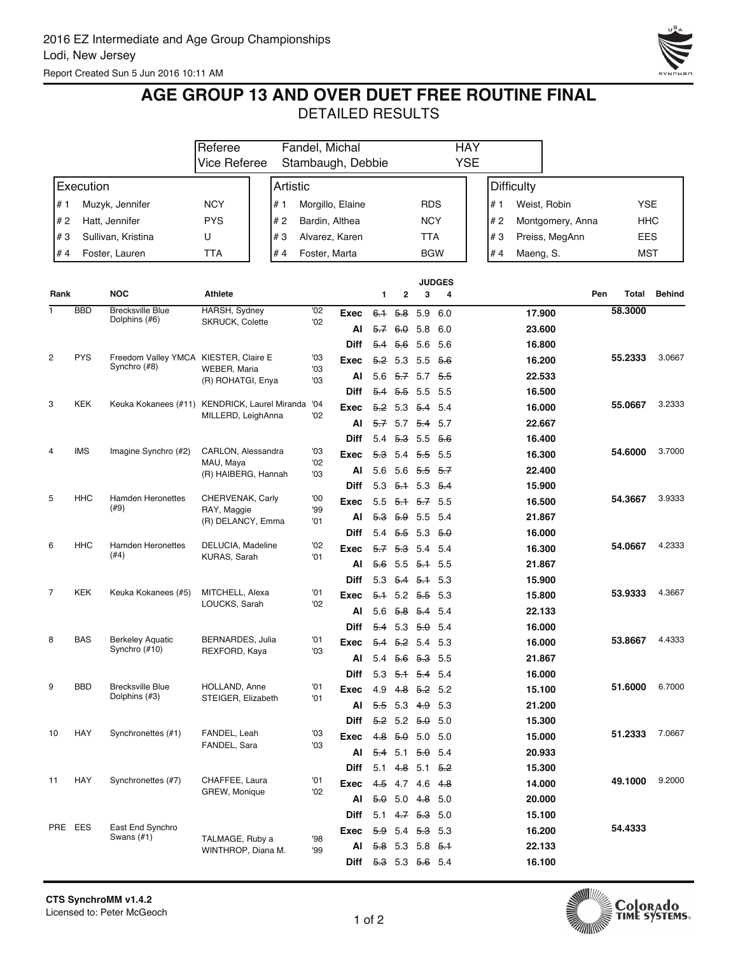

## **AGE GROUP 13 AND OVER DUET FREE ROUTINE FINAL**

|                |            |                                                       | Fandel, Michal<br>Referee             |  |          |            |                      |                                       |                                |            | <b>HAY</b>         |     |                   |                  |            |               |
|----------------|------------|-------------------------------------------------------|---------------------------------------|--|----------|------------|----------------------|---------------------------------------|--------------------------------|------------|--------------------|-----|-------------------|------------------|------------|---------------|
|                |            |                                                       | Vice Referee                          |  |          |            | Stambaugh, Debbie    |                                       |                                |            | <b>YSE</b>         |     |                   |                  |            |               |
|                | Execution  |                                                       |                                       |  | Artistic |            |                      |                                       |                                |            |                    |     | <b>Difficulty</b> |                  |            |               |
| # 1            |            | Muzyk, Jennifer                                       | <b>NCY</b>                            |  | # 1      |            | Morgillo, Elaine     |                                       |                                | <b>RDS</b> |                    | # 1 |                   | Weist, Robin     | <b>YSE</b> |               |
| #2             |            | Hatt, Jennifer                                        | <b>PYS</b>                            |  | # 2      |            | Bardin, Althea       |                                       |                                | <b>NCY</b> |                    | # 2 |                   | Montgomery, Anna | <b>HHC</b> |               |
| #3             |            | Sullivan, Kristina                                    | U                                     |  | #3       |            | Alvarez, Karen       |                                       |                                | TTA        |                    | #3  | Preiss, MegAnn    |                  | EES        |               |
| #4             |            | Foster, Lauren                                        | TTA                                   |  | #4       |            | Foster, Marta        |                                       |                                | <b>BGW</b> |                    | #4  | Maeng, S.         |                  | <b>MST</b> |               |
|                |            |                                                       |                                       |  |          |            |                      |                                       |                                |            |                    |     |                   |                  |            |               |
| Rank           |            | <b>NOC</b>                                            | <b>Athlete</b>                        |  |          |            |                      | 1                                     | $\mathbf{2}$                   | 3          | <b>JUDGES</b><br>4 |     |                   | Pen              | Total      | <b>Behind</b> |
| 1              | <b>BBD</b> | <b>Brecksville Blue</b><br>Dolphins (#6)              | HARSH, Sydney                         |  |          | '02<br>'02 | <b>Exec</b>          | $6+$                                  | 5.8                            | 5.9        | 6.0                |     | 17.900            |                  | 58.3000    |               |
|                |            |                                                       | SKRUCK, Colette                       |  |          |            | Al                   |                                       | $5.7$ 6.0 5.8 6.0              |            |                    |     | 23.600            |                  |            |               |
|                |            |                                                       |                                       |  |          |            | Diff                 |                                       | 5.4 5.6 5.6 5.6                |            |                    |     | 16.800            |                  |            |               |
| $\overline{c}$ | <b>PYS</b> | Freedom Valley YMCA KIESTER, Claire E<br>Synchro (#8) | WEBER, Maria                          |  |          | '03<br>'03 | Exec                 | 5.2                                   | 5.3 5.5                        |            | - 5.6              |     | 16.200            |                  | 55.2333    | 3.0667        |
|                |            |                                                       | (R) ROHATGI, Enya                     |  |          | '03        | Al                   |                                       | 5.6 5.7 5.7 5.5                |            |                    |     | 22.533            |                  |            |               |
|                |            |                                                       |                                       |  |          |            | Diff                 | 5.4                                   | <del>5.5</del> 5.5 5.5         |            |                    |     | 16.500            |                  |            |               |
| 3              | <b>KEK</b> | Keuka Kokanees (#11) KENDRICK, Laurel Miranda         | MILLERD, LeighAnna                    |  |          | '04<br>'02 | Exec                 |                                       | $5.2$ 5.3 $5.4$                |            | -5.4               |     | 16.000            |                  | 55.0667    | 3.2333        |
|                |            |                                                       |                                       |  |          |            | Al                   |                                       | $5.7$ 5.7 $5.4$ 5.7            |            |                    |     | 22.667            |                  |            |               |
|                |            |                                                       |                                       |  |          |            | Diff                 |                                       | $5.4$ $5.3$ $5.5$ $5.6$        |            |                    |     | 16.400            |                  |            |               |
| 4              | <b>IMS</b> | Imagine Synchro (#2)                                  | CARLON, Alessandra<br>MAU, Maya       |  |          | '03<br>'02 | Exec                 | 5.3                                   | 5.4 5.5 5.5                    |            |                    |     | 16.300            |                  | 54.6000    | 3.7000        |
|                |            |                                                       | (R) HAIBERG, Hannah                   |  |          | '03        | Al                   | 5.6                                   | 5.6 <del>5.5</del> 5.7         |            |                    |     | 22.400            |                  |            |               |
|                | <b>HHC</b> | <b>Hamden Heronettes</b>                              |                                       |  |          |            | <b>Diff</b>          |                                       | $5.3$ $5.4$ $5.3$ $5.4$        |            |                    |     | 15.900            |                  |            | 3.9333        |
| 5              |            | (#9)                                                  | CHERVENAK, Carly<br>RAY, Maggie       |  |          | '00<br>'99 | Exec                 |                                       | $5.5$ $5.4$ $5.7$ $5.5$        |            |                    |     | 16.500            |                  | 54.3667    |               |
|                |            |                                                       | (R) DELANCY, Emma                     |  |          | '01        | Al                   |                                       | 5.3 5.9 5.5 5.4                |            |                    |     | 21.867            |                  |            |               |
| 6              | <b>HHC</b> | <b>Hamden Heronettes</b>                              | DELUCIA, Madeline                     |  |          | '02        | Diff                 |                                       | $5.4$ $5.5$ $5.3$ $5.0$        |            |                    |     | 16.000            |                  | 54.0667    | 4.2333        |
|                |            | (#4)                                                  | KURAS, Sarah                          |  |          | '01        | Exec                 |                                       | $5.7$ $5.3$ 5.4 5.4            |            |                    |     | 16.300            |                  |            |               |
|                |            |                                                       |                                       |  |          |            | Al                   | 5.6                                   | 5.5 <del>5.1</del> 5.5         |            |                    |     | 21.867            |                  |            |               |
| $\overline{7}$ | <b>KEK</b> | Keuka Kokanees (#5)                                   | MITCHELL, Alexa                       |  |          | '01        | <b>Diff</b>          |                                       | $5.3$ $5.4$ $5.4$ 5.3          |            | - 5.3              |     | 15.900            |                  | 53.9333    | 4.3667        |
|                |            |                                                       | LOUCKS, Sarah                         |  |          | '02        | Exec                 | 5.6                                   | $5.1$ 5.2 $5.5$<br>5.8 5.4 5.4 |            |                    |     | 15.800<br>22.133  |                  |            |               |
|                |            |                                                       |                                       |  |          |            | Al<br>Diff           |                                       | $5.4$ 5.3 $5.0$ 5.4            |            |                    |     | 16.000            |                  |            |               |
| 8              | <b>BAS</b> | <b>Berkeley Aquatic</b>                               | <b>BERNARDES, Julia</b>               |  |          | '01        | Exec                 | 5.4                                   | 5.2 5.4 5.3                    |            |                    |     | 16.000            |                  | 53.8667    | 4.4333        |
|                |            | Synchro (#10)                                         | REXFORD, Kaya                         |  |          | '03        | Al                   |                                       | 5.4 5.6 5.3 5.5                |            |                    |     | 21.867            |                  |            |               |
|                |            |                                                       |                                       |  |          |            | Diff                 |                                       | $5.3$ $5.4$ $5.4$ $5.4$        |            |                    |     | 16.000            |                  |            |               |
| 9              | <b>BBD</b> | <b>Brecksville Blue</b>                               | HOLLAND, Anne                         |  |          | '01        | Exec                 |                                       | 4.9 4.8 5.2 5.2                |            |                    |     | 15.100            |                  | 51.6000    | 6.7000        |
|                |            | Dolphins (#3)                                         | STEIGER, Elizabeth                    |  |          | '01        | AI                   |                                       | 5.5 5.3 4.9 5.3                |            |                    |     | 21.200            |                  |            |               |
|                |            |                                                       |                                       |  |          |            | Diff                 | <del>5.2</del> 5.2 <del>5.0</del> 5.0 |                                |            |                    |     | 15.300            |                  |            |               |
| 10             | HAY        | Synchronettes (#1)                                    | FANDEL, Leah                          |  |          | '03        | Exec                 |                                       | $4.8$ 5.0 5.0 5.0              |            |                    |     | 15.000            |                  | 51.2333    | 7.0667        |
|                |            |                                                       | FANDEL, Sara                          |  |          | '03        |                      | Al $5.4$ 5.1 $5.0$ 5.4                |                                |            |                    |     | 20.933            |                  |            |               |
|                |            |                                                       |                                       |  |          |            | Diff                 | $5.1$ 4.8 5.1 5.2                     |                                |            |                    |     | 15.300            |                  |            |               |
| 11             | HAY        | Synchronettes (#7)                                    | CHAFFEE, Laura                        |  |          | '01        | Exec                 |                                       | 4.5 4.7 4.6 4.8                |            |                    |     | 14.000            |                  | 49.1000    | 9.2000        |
|                |            |                                                       | GREW, Monique                         |  |          | '02        | AI                   |                                       | $5.0$ 5.0 4.8 5.0              |            |                    |     | 20.000            |                  |            |               |
|                |            |                                                       |                                       |  |          |            | Diff                 |                                       | $5.1$ 4.7 5.3 5.0              |            |                    |     | 15.100            |                  |            |               |
| PRE EES        |            | East End Synchro                                      |                                       |  |          |            | Exec                 |                                       | $5.9$ 5.4 $5.3$ 5.3            |            |                    |     | 16.200            |                  | 54.4333    |               |
|                |            | Swans $(\#1)$                                         | TALMAGE, Ruby a<br>WINTHROP, Diana M. |  |          | 98<br>'99  | Al                   |                                       | 5.8 5.3 5.8 5.1                |            |                    |     | 22.133            |                  |            |               |
|                |            |                                                       |                                       |  |          |            | Diff 5.3 5.3 5.6 5.4 |                                       |                                |            |                    |     | 16.100            |                  |            |               |

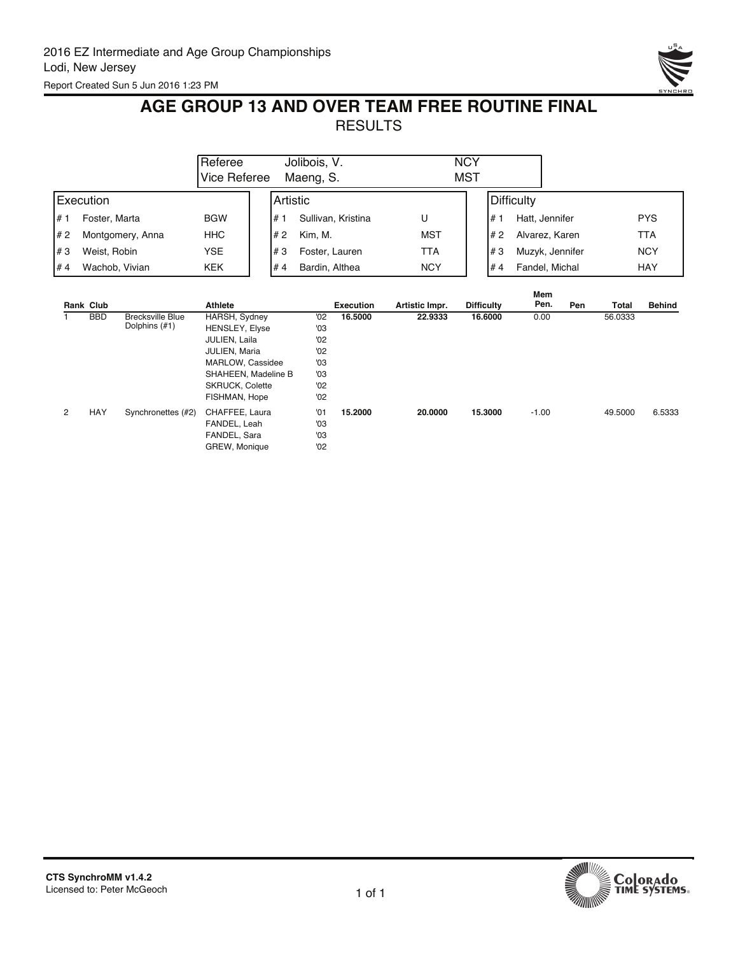

## **AGE GROUP 13 AND OVER TEAM FREE ROUTINE FINAL** RESULTS

|                          | <b>Referee</b><br>Vice Referee | Jolibois, V.<br>Maeng, S. | <b>NCY</b><br><b>MST</b> |                                      |
|--------------------------|--------------------------------|---------------------------|--------------------------|--------------------------------------|
| <b>IExecution</b>        |                                | l Artistic                |                          | Difficulty                           |
| l# 1<br>Foster, Marta    | <b>BGW</b>                     | Sullivan, Kristina<br>#   | U                        | <b>PYS</b><br>l# 1<br>Hatt, Jennifer |
| l# 2<br>Montgomery, Anna | <b>HHC</b>                     | Kim. M.<br>l# 2           | <b>MST</b>               | <b>TTA</b><br>#2<br>Alvarez, Karen   |
| l#3<br>Weist, Robin      | <b>YSE</b>                     | l#3<br>Foster, Lauren     | TTA                      | <b>NCY</b><br>#3<br>Muzyk, Jennifer  |
| l#4<br>Wachob, Vivian    | <b>KEK</b>                     | #4<br>Bardin, Althea      | <b>NCY</b>               | <b>HAY</b><br>Fandel, Michal<br>#4   |

|   |            |                         |                        |     |                  |                |                   | Mem     |     |         |               |
|---|------------|-------------------------|------------------------|-----|------------------|----------------|-------------------|---------|-----|---------|---------------|
|   | Rank Club  |                         | Athlete                |     | <b>Execution</b> | Artistic Impr. | <b>Difficulty</b> | Pen.    | Pen | Total   | <b>Behind</b> |
|   | <b>BBD</b> | <b>Brecksville Blue</b> | HARSH, Sydney          | '02 | 16.5000          | 22.9333        | 16,6000           | 0.00    |     | 56.0333 |               |
|   |            | Dolphins (#1)           | <b>HENSLEY, Elyse</b>  | '03 |                  |                |                   |         |     |         |               |
|   |            |                         | JULIEN, Laila          | '02 |                  |                |                   |         |     |         |               |
|   |            |                         | JULIEN, Maria          | '02 |                  |                |                   |         |     |         |               |
|   |            |                         | MARLOW, Cassidee       | '03 |                  |                |                   |         |     |         |               |
|   |            |                         | SHAHEEN, Madeline B    | '03 |                  |                |                   |         |     |         |               |
|   |            |                         | <b>SKRUCK, Colette</b> | '02 |                  |                |                   |         |     |         |               |
|   |            |                         | FISHMAN, Hope          | '02 |                  |                |                   |         |     |         |               |
| 2 | HAY        | Synchronettes (#2)      | CHAFFEE, Laura         | '01 | 15.2000          | 20,0000        | 15,3000           | $-1.00$ |     | 49.5000 | 6.5333        |
|   |            |                         | FANDEL, Leah           | '03 |                  |                |                   |         |     |         |               |
|   |            |                         | FANDEL, Sara           | '03 |                  |                |                   |         |     |         |               |
|   |            |                         |                        |     |                  |                |                   |         |     |         |               |
|   |            |                         | GREW, Monique          | '02 |                  |                |                   |         |     |         |               |